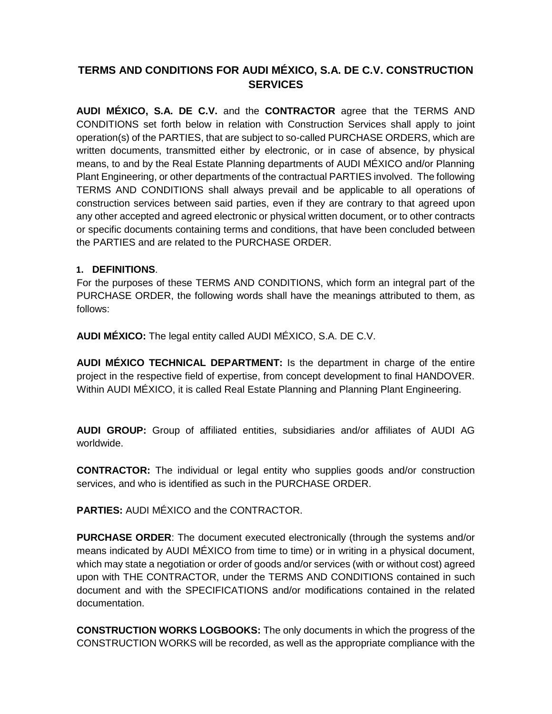# **TERMS AND CONDITIONS FOR AUDI MÉXICO, S.A. DE C.V. CONSTRUCTION SERVICES**

**AUDI MÉXICO, S.A. DE C.V.** and the **CONTRACTOR** agree that the TERMS AND CONDITIONS set forth below in relation with Construction Services shall apply to joint operation(s) of the PARTIES, that are subject to so-called PURCHASE ORDERS, which are written documents, transmitted either by electronic, or in case of absence, by physical means, to and by the Real Estate Planning departments of AUDI MÉXICO and/or Planning Plant Engineering, or other departments of the contractual PARTIES involved. The following TERMS AND CONDITIONS shall always prevail and be applicable to all operations of construction services between said parties, even if they are contrary to that agreed upon any other accepted and agreed electronic or physical written document, or to other contracts or specific documents containing terms and conditions, that have been concluded between the PARTIES and are related to the PURCHASE ORDER.

### **1. DEFINITIONS**.

For the purposes of these TERMS AND CONDITIONS, which form an integral part of the PURCHASE ORDER, the following words shall have the meanings attributed to them, as follows:

**AUDI MÉXICO:** The legal entity called AUDI MÉXICO, S.A. DE C.V.

**AUDI MÉXICO TECHNICAL DEPARTMENT:** Is the department in charge of the entire project in the respective field of expertise, from concept development to final HANDOVER. Within AUDI MÉXICO, it is called Real Estate Planning and Planning Plant Engineering.

**AUDI GROUP:** Group of affiliated entities, subsidiaries and/or affiliates of AUDI AG worldwide.

**CONTRACTOR:** The individual or legal entity who supplies goods and/or construction services, and who is identified as such in the PURCHASE ORDER.

**PARTIES:** AUDI MÉXICO and the CONTRACTOR.

**PURCHASE ORDER**: The document executed electronically (through the systems and/or means indicated by AUDI MÉXICO from time to time) or in writing in a physical document, which may state a negotiation or order of goods and/or services (with or without cost) agreed upon with THE CONTRACTOR, under the TERMS AND CONDITIONS contained in such document and with the SPECIFICATIONS and/or modifications contained in the related documentation.

**CONSTRUCTION WORKS LOGBOOKS:** The only documents in which the progress of the CONSTRUCTION WORKS will be recorded, as well as the appropriate compliance with the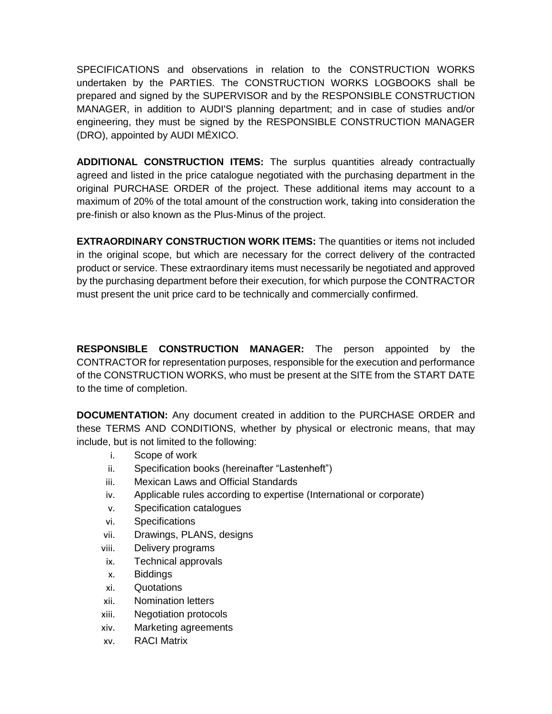SPECIFICATIONS and observations in relation to the CONSTRUCTION WORKS undertaken by the PARTIES. The CONSTRUCTION WORKS LOGBOOKS shall be prepared and signed by the SUPERVISOR and by the RESPONSIBLE CONSTRUCTION MANAGER, in addition to AUDI'S planning department; and in case of studies and/or engineering, they must be signed by the RESPONSIBLE CONSTRUCTION MANAGER (DRO), appointed by AUDI MÉXICO.

**ADDITIONAL CONSTRUCTION ITEMS:** The surplus quantities already contractually agreed and listed in the price catalogue negotiated with the purchasing department in the original PURCHASE ORDER of the project. These additional items may account to a maximum of 20% of the total amount of the construction work, taking into consideration the pre-finish or also known as the Plus-Minus of the project.

**EXTRAORDINARY CONSTRUCTION WORK ITEMS:** The quantities or items not included in the original scope, but which are necessary for the correct delivery of the contracted product or service. These extraordinary items must necessarily be negotiated and approved by the purchasing department before their execution, for which purpose the CONTRACTOR must present the unit price card to be technically and commercially confirmed.

**RESPONSIBLE CONSTRUCTION MANAGER:** The person appointed by the CONTRACTOR for representation purposes, responsible for the execution and performance of the CONSTRUCTION WORKS, who must be present at the SITE from the START DATE to the time of completion.

**DOCUMENTATION:** Any document created in addition to the PURCHASE ORDER and these TERMS AND CONDITIONS, whether by physical or electronic means, that may include, but is not limited to the following:

- i. Scope of work
- ii. Specification books (hereinafter "Lastenheft")
- iii. Mexican Laws and Official Standards
- iv. Applicable rules according to expertise (International or corporate)
- v. Specification catalogues
- vi. Specifications
- vii. Drawings, PLANS, designs
- viii. Delivery programs
- ix. Technical approvals
- x. Biddings
- xi. Quotations
- xii. Nomination letters
- xiii. Negotiation protocols
- xiv. Marketing agreements
- xv. RACI Matrix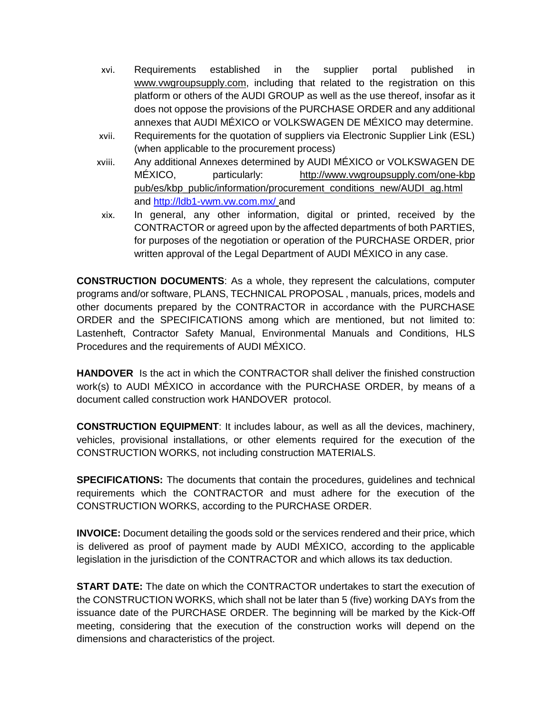- xvi. Requirements established in the supplier portal published in www.vwgroupsupply.com, including that related to the registration on this platform or others of the AUDI GROUP as well as the use thereof, insofar as it does not oppose the provisions of the PURCHASE ORDER and any additional annexes that AUDI MÉXICO or VOLKSWAGEN DE MÉXICO may determine.
- xvii. Requirements for the quotation of suppliers via Electronic Supplier Link (ESL) (when applicable to the procurement process)
- xviii. Any additional Annexes determined by AUDI MÉXICO or VOLKSWAGEN DE MÉXICO, particularly: [http://www.vwgroupsupply.com/one-kbp](http://www.vwgroupsupply.com/one-kbp%20pub/es/kbp_public/information/procurement_conditions_new/AUDI_ag.html)  [pub/es/kbp\\_public/information/procurement\\_conditions\\_new/AUDI\\_ag.html](http://www.vwgroupsupply.com/one-kbp%20pub/es/kbp_public/information/procurement_conditions_new/AUDI_ag.html) and<http://ldb1-vwm.vw.com.mx/> and
- xix. In general, any other information, digital or printed, received by the CONTRACTOR or agreed upon by the affected departments of both PARTIES, for purposes of the negotiation or operation of the PURCHASE ORDER, prior written approval of the Legal Department of AUDI MÉXICO in any case.

**CONSTRUCTION DOCUMENTS**: As a whole, they represent the calculations, computer programs and/or software, PLANS, TECHNICAL PROPOSAL , manuals, prices, models and other documents prepared by the CONTRACTOR in accordance with the PURCHASE ORDER and the SPECIFICATIONS among which are mentioned, but not limited to: Lastenheft, Contractor Safety Manual, Environmental Manuals and Conditions, HLS Procedures and the requirements of AUDI MÉXICO.

**HANDOVER** Is the act in which the CONTRACTOR shall deliver the finished construction work(s) to AUDI MÉXICO in accordance with the PURCHASE ORDER, by means of a document called construction work HANDOVER protocol.

**CONSTRUCTION EQUIPMENT**: It includes labour, as well as all the devices, machinery, vehicles, provisional installations, or other elements required for the execution of the CONSTRUCTION WORKS, not including construction MATERIALS.

**SPECIFICATIONS:** The documents that contain the procedures, guidelines and technical requirements which the CONTRACTOR and must adhere for the execution of the CONSTRUCTION WORKS, according to the PURCHASE ORDER.

**INVOICE:** Document detailing the goods sold or the services rendered and their price, which is delivered as proof of payment made by AUDI MÉXICO, according to the applicable legislation in the jurisdiction of the CONTRACTOR and which allows its tax deduction.

**START DATE:** The date on which the CONTRACTOR undertakes to start the execution of the CONSTRUCTION WORKS, which shall not be later than 5 (five) working DAYs from the issuance date of the PURCHASE ORDER. The beginning will be marked by the Kick-Off meeting, considering that the execution of the construction works will depend on the dimensions and characteristics of the project.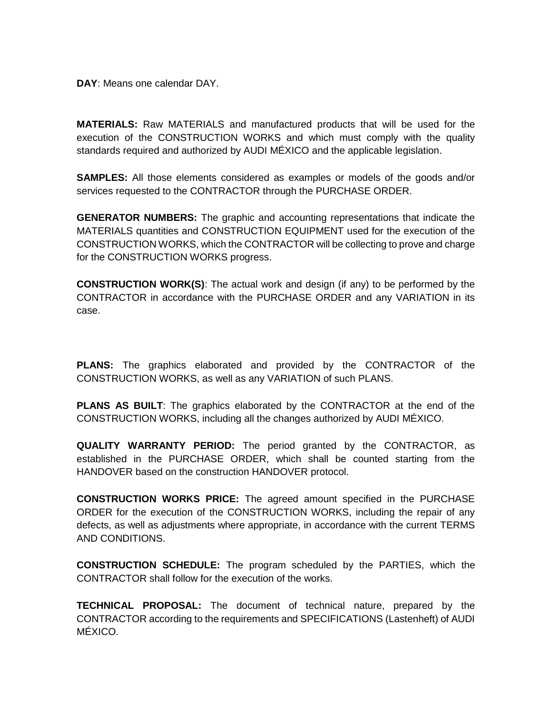**DAY**: Means one calendar DAY.

**MATERIALS:** Raw MATERIALS and manufactured products that will be used for the execution of the CONSTRUCTION WORKS and which must comply with the quality standards required and authorized by AUDI MÉXICO and the applicable legislation.

**SAMPLES:** All those elements considered as examples or models of the goods and/or services requested to the CONTRACTOR through the PURCHASE ORDER.

**GENERATOR NUMBERS:** The graphic and accounting representations that indicate the MATERIALS quantities and CONSTRUCTION EQUIPMENT used for the execution of the CONSTRUCTION WORKS, which the CONTRACTOR will be collecting to prove and charge for the CONSTRUCTION WORKS progress.

**CONSTRUCTION WORK(S)**: The actual work and design (if any) to be performed by the CONTRACTOR in accordance with the PURCHASE ORDER and any VARIATION in its case.

**PLANS:** The graphics elaborated and provided by the CONTRACTOR of the CONSTRUCTION WORKS, as well as any VARIATION of such PLANS.

**PLANS AS BUILT**: The graphics elaborated by the CONTRACTOR at the end of the CONSTRUCTION WORKS, including all the changes authorized by AUDI MÉXICO.

**QUALITY WARRANTY PERIOD:** The period granted by the CONTRACTOR, as established in the PURCHASE ORDER, which shall be counted starting from the HANDOVER based on the construction HANDOVER protocol.

**CONSTRUCTION WORKS PRICE:** The agreed amount specified in the PURCHASE ORDER for the execution of the CONSTRUCTION WORKS, including the repair of any defects, as well as adjustments where appropriate, in accordance with the current TERMS AND CONDITIONS.

**CONSTRUCTION SCHEDULE:** The program scheduled by the PARTIES, which the CONTRACTOR shall follow for the execution of the works.

**TECHNICAL PROPOSAL:** The document of technical nature, prepared by the CONTRACTOR according to the requirements and SPECIFICATIONS (Lastenheft) of AUDI MÉXICO.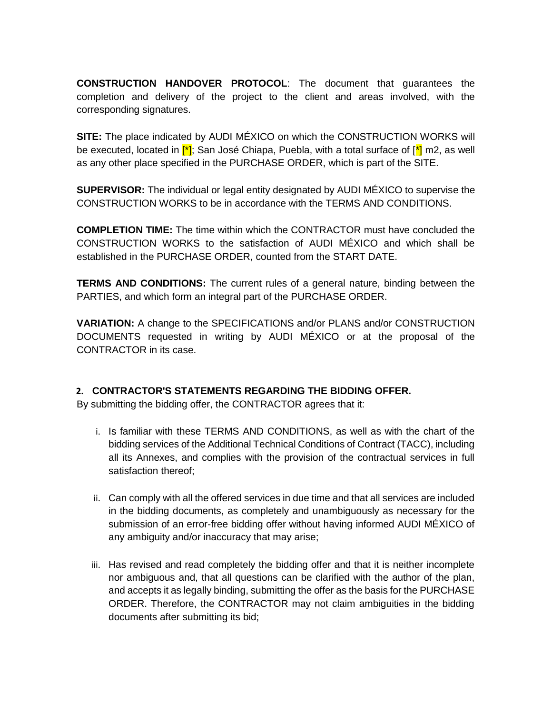**CONSTRUCTION HANDOVER PROTOCOL**: The document that guarantees the completion and delivery of the project to the client and areas involved, with the corresponding signatures.

**SITE:** The place indicated by AUDI MÉXICO on which the CONSTRUCTION WORKS will be executed, located in  $\mathfrak{f}^*$ ; San José Chiapa, Puebla, with a total surface of  $\mathfrak{f}^*$  m2, as well as any other place specified in the PURCHASE ORDER, which is part of the SITE.

**SUPERVISOR:** The individual or legal entity designated by AUDI MÉXICO to supervise the CONSTRUCTION WORKS to be in accordance with the TERMS AND CONDITIONS.

**COMPLETION TIME:** The time within which the CONTRACTOR must have concluded the CONSTRUCTION WORKS to the satisfaction of AUDI MÉXICO and which shall be established in the PURCHASE ORDER, counted from the START DATE.

**TERMS AND CONDITIONS:** The current rules of a general nature, binding between the PARTIES, and which form an integral part of the PURCHASE ORDER.

**VARIATION:** A change to the SPECIFICATIONS and/or PLANS and/or CONSTRUCTION DOCUMENTS requested in writing by AUDI MÉXICO or at the proposal of the CONTRACTOR in its case.

### **2. CONTRACTOR'S STATEMENTS REGARDING THE BIDDING OFFER.**

By submitting the bidding offer, the CONTRACTOR agrees that it:

- i. Is familiar with these TERMS AND CONDITIONS, as well as with the chart of the bidding services of the Additional Technical Conditions of Contract (TACC), including all its Annexes, and complies with the provision of the contractual services in full satisfaction thereof;
- ii. Can comply with all the offered services in due time and that all services are included in the bidding documents, as completely and unambiguously as necessary for the submission of an error-free bidding offer without having informed AUDI MÉXICO of any ambiguity and/or inaccuracy that may arise;
- iii. Has revised and read completely the bidding offer and that it is neither incomplete nor ambiguous and, that all questions can be clarified with the author of the plan, and accepts it as legally binding, submitting the offer as the basis for the PURCHASE ORDER. Therefore, the CONTRACTOR may not claim ambiguities in the bidding documents after submitting its bid;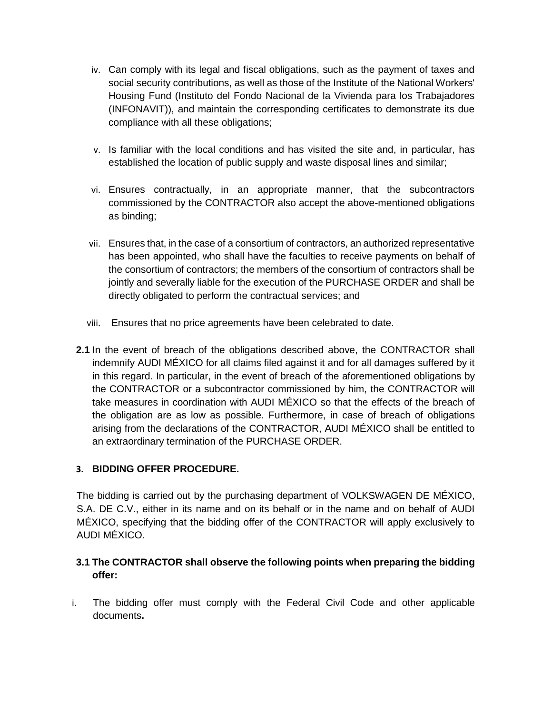- iv. Can comply with its legal and fiscal obligations, such as the payment of taxes and social security contributions, as well as those of the Institute of the National Workers' Housing Fund (Instituto del Fondo Nacional de la Vivienda para los Trabajadores (INFONAVIT)), and maintain the corresponding certificates to demonstrate its due compliance with all these obligations;
- v. Is familiar with the local conditions and has visited the site and, in particular, has established the location of public supply and waste disposal lines and similar;
- vi. Ensures contractually, in an appropriate manner, that the subcontractors commissioned by the CONTRACTOR also accept the above-mentioned obligations as binding;
- vii. Ensures that, in the case of a consortium of contractors, an authorized representative has been appointed, who shall have the faculties to receive payments on behalf of the consortium of contractors; the members of the consortium of contractors shall be jointly and severally liable for the execution of the PURCHASE ORDER and shall be directly obligated to perform the contractual services; and
- viii. Ensures that no price agreements have been celebrated to date.
- **2.1** In the event of breach of the obligations described above, the CONTRACTOR shall indemnify AUDI MÉXICO for all claims filed against it and for all damages suffered by it in this regard. In particular, in the event of breach of the aforementioned obligations by the CONTRACTOR or a subcontractor commissioned by him, the CONTRACTOR will take measures in coordination with AUDI MÉXICO so that the effects of the breach of the obligation are as low as possible. Furthermore, in case of breach of obligations arising from the declarations of the CONTRACTOR, AUDI MÉXICO shall be entitled to an extraordinary termination of the PURCHASE ORDER.

### **3. BIDDING OFFER PROCEDURE.**

The bidding is carried out by the purchasing department of VOLKSWAGEN DE MÉXICO, S.A. DE C.V., either in its name and on its behalf or in the name and on behalf of AUDI MÉXICO, specifying that the bidding offer of the CONTRACTOR will apply exclusively to AUDI MÉXICO.

# **3.1 The CONTRACTOR shall observe the following points when preparing the bidding offer:**

i. The bidding offer must comply with the Federal Civil Code and other applicable documents**.**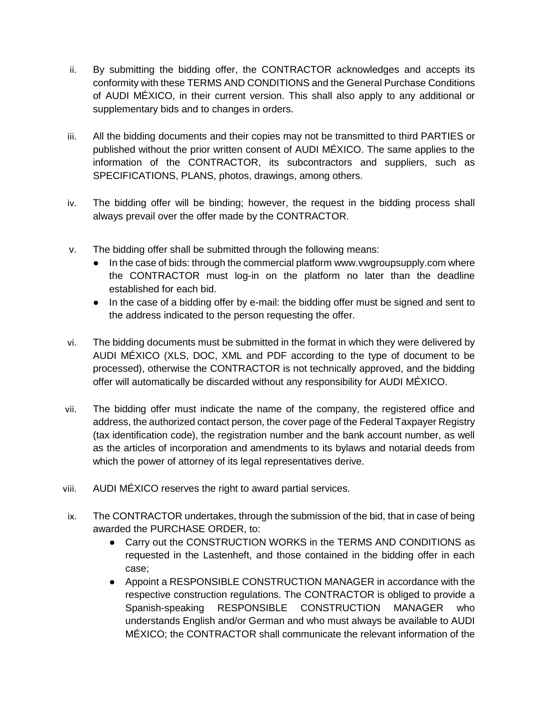- ii. By submitting the bidding offer, the CONTRACTOR acknowledges and accepts its conformity with these TERMS AND CONDITIONS and the General Purchase Conditions of AUDI MÉXICO, in their current version. This shall also apply to any additional or supplementary bids and to changes in orders.
- iii. All the bidding documents and their copies may not be transmitted to third PARTIES or published without the prior written consent of AUDI MÉXICO. The same applies to the information of the CONTRACTOR, its subcontractors and suppliers, such as SPECIFICATIONS, PLANS, photos, drawings, among others.
- iv. The bidding offer will be binding; however, the request in the bidding process shall always prevail over the offer made by the CONTRACTOR.
- v. The bidding offer shall be submitted through the following means:
	- In the case of bids: through the commercial platform www.vwgroupsupply.com where the CONTRACTOR must log-in on the platform no later than the deadline established for each bid.
	- In the case of a bidding offer by e-mail: the bidding offer must be signed and sent to the address indicated to the person requesting the offer.
- vi. The bidding documents must be submitted in the format in which they were delivered by AUDI MÉXICO (XLS, DOC, XML and PDF according to the type of document to be processed), otherwise the CONTRACTOR is not technically approved, and the bidding offer will automatically be discarded without any responsibility for AUDI MÉXICO.
- vii. The bidding offer must indicate the name of the company, the registered office and address, the authorized contact person, the cover page of the Federal Taxpayer Registry (tax identification code), the registration number and the bank account number, as well as the articles of incorporation and amendments to its bylaws and notarial deeds from which the power of attorney of its legal representatives derive.
- viii. AUDI MÉXICO reserves the right to award partial services.
- ix. The CONTRACTOR undertakes, through the submission of the bid, that in case of being awarded the PURCHASE ORDER, to:
	- Carry out the CONSTRUCTION WORKS in the TERMS AND CONDITIONS as requested in the Lastenheft, and those contained in the bidding offer in each case;
	- Appoint a RESPONSIBLE CONSTRUCTION MANAGER in accordance with the respective construction regulations. The CONTRACTOR is obliged to provide a Spanish-speaking RESPONSIBLE CONSTRUCTION MANAGER who understands English and/or German and who must always be available to AUDI MÉXICO; the CONTRACTOR shall communicate the relevant information of the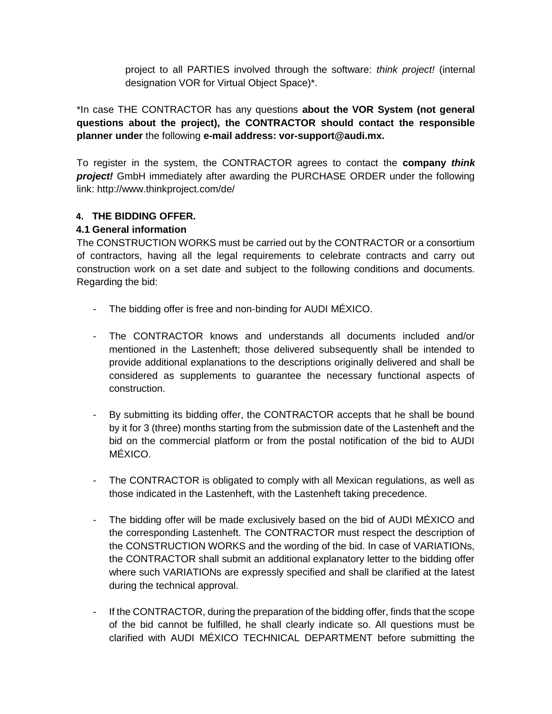project to all PARTIES involved through the software: *think project!* (internal designation VOR for Virtual Object Space)\*.

\*In case THE CONTRACTOR has any questions **about the VOR System (not general questions about the project), the CONTRACTOR should contact the responsible planner under** the following **e-mail address: vor-support@audi.mx.**

To register in the system, the CONTRACTOR agrees to contact the **company** *think project!* GmbH immediately after awarding the PURCHASE ORDER under the following link: http://www.thinkproject.com/de/

### **4. THE BIDDING OFFER.**

#### **4.1 General information**

The CONSTRUCTION WORKS must be carried out by the CONTRACTOR or a consortium of contractors, having all the legal requirements to celebrate contracts and carry out construction work on a set date and subject to the following conditions and documents. Regarding the bid:

- The bidding offer is free and non-binding for AUDI MÉXICO.
- The CONTRACTOR knows and understands all documents included and/or mentioned in the Lastenheft; those delivered subsequently shall be intended to provide additional explanations to the descriptions originally delivered and shall be considered as supplements to guarantee the necessary functional aspects of construction.
- By submitting its bidding offer, the CONTRACTOR accepts that he shall be bound by it for 3 (three) months starting from the submission date of the Lastenheft and the bid on the commercial platform or from the postal notification of the bid to AUDI MÉXICO.
- The CONTRACTOR is obligated to comply with all Mexican regulations, as well as those indicated in the Lastenheft, with the Lastenheft taking precedence.
- The bidding offer will be made exclusively based on the bid of AUDI MÉXICO and the corresponding Lastenheft. The CONTRACTOR must respect the description of the CONSTRUCTION WORKS and the wording of the bid. In case of VARIATIONs, the CONTRACTOR shall submit an additional explanatory letter to the bidding offer where such VARIATIONs are expressly specified and shall be clarified at the latest during the technical approval.
- If the CONTRACTOR, during the preparation of the bidding offer, finds that the scope of the bid cannot be fulfilled, he shall clearly indicate so. All questions must be clarified with AUDI MÉXICO TECHNICAL DEPARTMENT before submitting the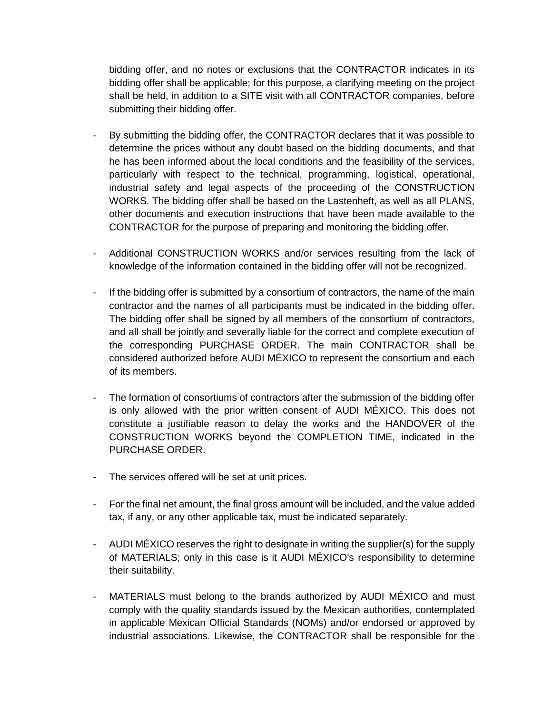bidding offer, and no notes or exclusions that the CONTRACTOR indicates in its bidding offer shall be applicable; for this purpose, a clarifying meeting on the project shall be held, in addition to a SITE visit with all CONTRACTOR companies, before submitting their bidding offer.

- By submitting the bidding offer, the CONTRACTOR declares that it was possible to determine the prices without any doubt based on the bidding documents, and that he has been informed about the local conditions and the feasibility of the services, particularly with respect to the technical, programming, logistical, operational, industrial safety and legal aspects of the proceeding of the CONSTRUCTION WORKS. The bidding offer shall be based on the Lastenheft, as well as all PLANS, other documents and execution instructions that have been made available to the CONTRACTOR for the purpose of preparing and monitoring the bidding offer.
- Additional CONSTRUCTION WORKS and/or services resulting from the lack of knowledge of the information contained in the bidding offer will not be recognized.
- If the bidding offer is submitted by a consortium of contractors, the name of the main contractor and the names of all participants must be indicated in the bidding offer. The bidding offer shall be signed by all members of the consortium of contractors, and all shall be jointly and severally liable for the correct and complete execution of the corresponding PURCHASE ORDER. The main CONTRACTOR shall be considered authorized before AUDI MÉXICO to represent the consortium and each of its members.
- The formation of consortiums of contractors after the submission of the bidding offer is only allowed with the prior written consent of AUDI MÉXICO. This does not constitute a justifiable reason to delay the works and the HANDOVER of the CONSTRUCTION WORKS beyond the COMPLETION TIME, indicated in the PURCHASE ORDER.
- The services offered will be set at unit prices.
- For the final net amount, the final gross amount will be included, and the value added tax, if any, or any other applicable tax, must be indicated separately.
- AUDI MÉXICO reserves the right to designate in writing the supplier(s) for the supply of MATERIALS; only in this case is it AUDI MÉXICO's responsibility to determine their suitability.
- MATERIALS must belong to the brands authorized by AUDI MÉXICO and must comply with the quality standards issued by the Mexican authorities, contemplated in applicable Mexican Official Standards (NOMs) and/or endorsed or approved by industrial associations. Likewise, the CONTRACTOR shall be responsible for the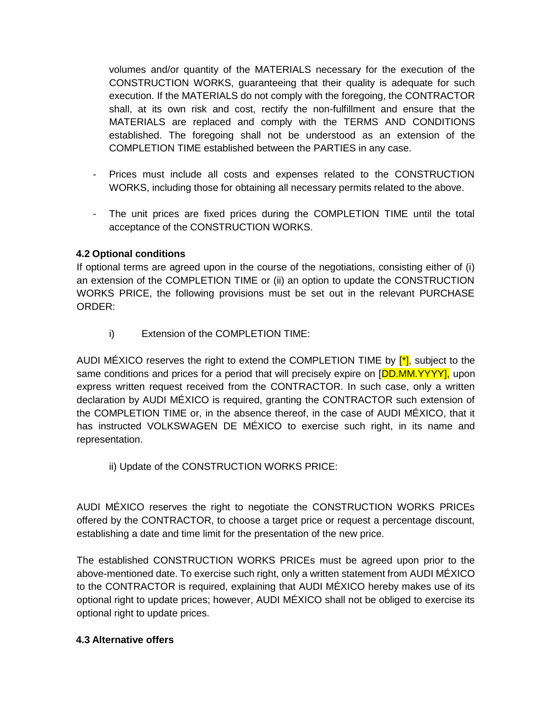volumes and/or quantity of the MATERIALS necessary for the execution of the CONSTRUCTION WORKS, guaranteeing that their quality is adequate for such execution. If the MATERIALS do not comply with the foregoing, the CONTRACTOR shall, at its own risk and cost, rectify the non-fulfillment and ensure that the MATERIALS are replaced and comply with the TERMS AND CONDITIONS established. The foregoing shall not be understood as an extension of the COMPLETION TIME established between the PARTIES in any case.

- Prices must include all costs and expenses related to the CONSTRUCTION WORKS, including those for obtaining all necessary permits related to the above.
- The unit prices are fixed prices during the COMPLETION TIME until the total acceptance of the CONSTRUCTION WORKS.

#### **4.2 Optional conditions**

If optional terms are agreed upon in the course of the negotiations, consisting either of (i) an extension of the COMPLETION TIME or (ii) an option to update the CONSTRUCTION WORKS PRICE, the following provisions must be set out in the relevant PURCHASE ORDER:

i) Extension of the COMPLETION TIME:

AUDI MÉXICO reserves the right to extend the COMPLETION TIME by  $\mathfrak{f}^*$ , subject to the same conditions and prices for a period that will precisely expire on [DD.MM.YYYY], upon express written request received from the CONTRACTOR. In such case, only a written declaration by AUDI MÉXICO is required, granting the CONTRACTOR such extension of the COMPLETION TIME or, in the absence thereof, in the case of AUDI MÉXICO, that it has instructed VOLKSWAGEN DE MÉXICO to exercise such right, in its name and representation.

ii) Update of the CONSTRUCTION WORKS PRICE:

AUDI MÉXICO reserves the right to negotiate the CONSTRUCTION WORKS PRICEs offered by the CONTRACTOR, to choose a target price or request a percentage discount, establishing a date and time limit for the presentation of the new price.

The established CONSTRUCTION WORKS PRICEs must be agreed upon prior to the above-mentioned date. To exercise such right, only a written statement from AUDI MÉXICO to the CONTRACTOR is required, explaining that AUDI MÉXICO hereby makes use of its optional right to update prices; however, AUDI MÉXICO shall not be obliged to exercise its optional right to update prices.

#### **4.3 Alternative offers**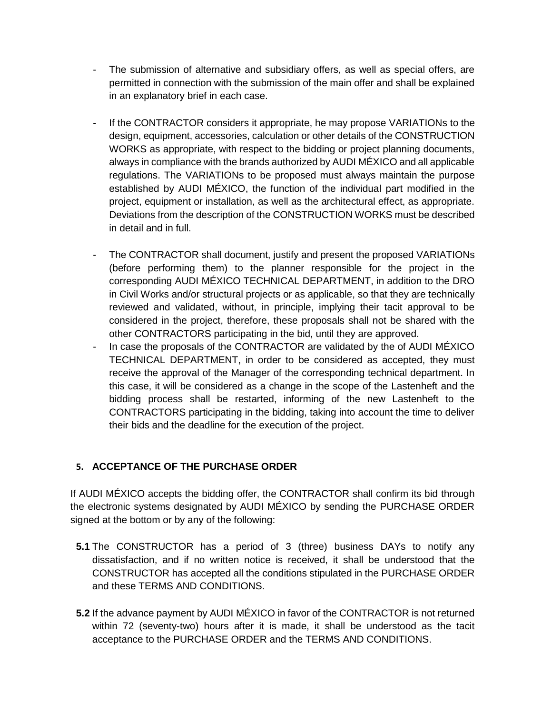- The submission of alternative and subsidiary offers, as well as special offers, are permitted in connection with the submission of the main offer and shall be explained in an explanatory brief in each case.
- If the CONTRACTOR considers it appropriate, he may propose VARIATIONs to the design, equipment, accessories, calculation or other details of the CONSTRUCTION WORKS as appropriate, with respect to the bidding or project planning documents, always in compliance with the brands authorized by AUDI MÉXICO and all applicable regulations. The VARIATIONs to be proposed must always maintain the purpose established by AUDI MÉXICO, the function of the individual part modified in the project, equipment or installation, as well as the architectural effect, as appropriate. Deviations from the description of the CONSTRUCTION WORKS must be described in detail and in full.
- The CONTRACTOR shall document, justify and present the proposed VARIATIONs (before performing them) to the planner responsible for the project in the corresponding AUDI MÉXICO TECHNICAL DEPARTMENT, in addition to the DRO in Civil Works and/or structural projects or as applicable, so that they are technically reviewed and validated, without, in principle, implying their tacit approval to be considered in the project, therefore, these proposals shall not be shared with the other CONTRACTORS participating in the bid, until they are approved.
- In case the proposals of the CONTRACTOR are validated by the of AUDI MÉXICO TECHNICAL DEPARTMENT, in order to be considered as accepted, they must receive the approval of the Manager of the corresponding technical department. In this case, it will be considered as a change in the scope of the Lastenheft and the bidding process shall be restarted, informing of the new Lastenheft to the CONTRACTORS participating in the bidding, taking into account the time to deliver their bids and the deadline for the execution of the project.

# **5. ACCEPTANCE OF THE PURCHASE ORDER**

If AUDI MÉXICO accepts the bidding offer, the CONTRACTOR shall confirm its bid through the electronic systems designated by AUDI MÉXICO by sending the PURCHASE ORDER signed at the bottom or by any of the following:

- **5.1** The CONSTRUCTOR has a period of 3 (three) business DAYs to notify any dissatisfaction, and if no written notice is received, it shall be understood that the CONSTRUCTOR has accepted all the conditions stipulated in the PURCHASE ORDER and these TERMS AND CONDITIONS.
- **5.2** If the advance payment by AUDI MÉXICO in favor of the CONTRACTOR is not returned within 72 (seventy-two) hours after it is made, it shall be understood as the tacit acceptance to the PURCHASE ORDER and the TERMS AND CONDITIONS.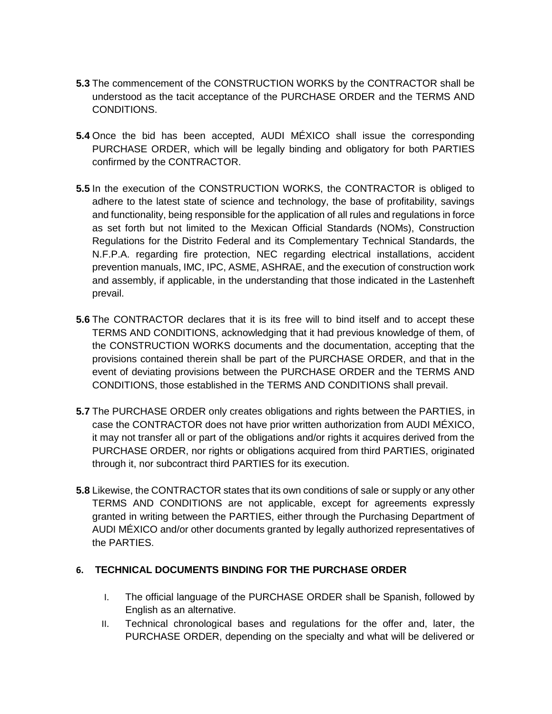- **5.3** The commencement of the CONSTRUCTION WORKS by the CONTRACTOR shall be understood as the tacit acceptance of the PURCHASE ORDER and the TERMS AND CONDITIONS.
- **5.4** Once the bid has been accepted, AUDI MÉXICO shall issue the corresponding PURCHASE ORDER, which will be legally binding and obligatory for both PARTIES confirmed by the CONTRACTOR.
- **5.5** In the execution of the CONSTRUCTION WORKS, the CONTRACTOR is obliged to adhere to the latest state of science and technology, the base of profitability, savings and functionality, being responsible for the application of all rules and regulations in force as set forth but not limited to the Mexican Official Standards (NOMs), Construction Regulations for the Distrito Federal and its Complementary Technical Standards, the N.F.P.A. regarding fire protection, NEC regarding electrical installations, accident prevention manuals, IMC, IPC, ASME, ASHRAE, and the execution of construction work and assembly, if applicable, in the understanding that those indicated in the Lastenheft prevail.
- **5.6** The CONTRACTOR declares that it is its free will to bind itself and to accept these TERMS AND CONDITIONS, acknowledging that it had previous knowledge of them, of the CONSTRUCTION WORKS documents and the documentation, accepting that the provisions contained therein shall be part of the PURCHASE ORDER, and that in the event of deviating provisions between the PURCHASE ORDER and the TERMS AND CONDITIONS, those established in the TERMS AND CONDITIONS shall prevail.
- **5.7** The PURCHASE ORDER only creates obligations and rights between the PARTIES, in case the CONTRACTOR does not have prior written authorization from AUDI MÉXICO, it may not transfer all or part of the obligations and/or rights it acquires derived from the PURCHASE ORDER, nor rights or obligations acquired from third PARTIES, originated through it, nor subcontract third PARTIES for its execution.
- **5.8** Likewise, the CONTRACTOR states that its own conditions of sale or supply or any other TERMS AND CONDITIONS are not applicable, except for agreements expressly granted in writing between the PARTIES, either through the Purchasing Department of AUDI MÉXICO and/or other documents granted by legally authorized representatives of the PARTIES.

### **6. TECHNICAL DOCUMENTS BINDING FOR THE PURCHASE ORDER**

- I. The official language of the PURCHASE ORDER shall be Spanish, followed by English as an alternative.
- II. Technical chronological bases and regulations for the offer and, later, the PURCHASE ORDER, depending on the specialty and what will be delivered or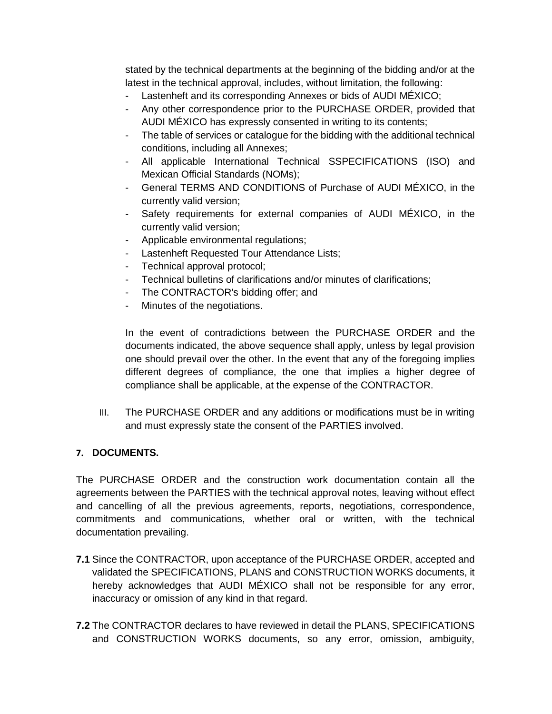stated by the technical departments at the beginning of the bidding and/or at the latest in the technical approval, includes, without limitation, the following:

- Lastenheft and its corresponding Annexes or bids of AUDI MÉXICO;
- Any other correspondence prior to the PURCHASE ORDER, provided that AUDI MÉXICO has expressly consented in writing to its contents;
- The table of services or catalogue for the bidding with the additional technical conditions, including all Annexes;
- All applicable International Technical SSPECIFICATIONS (ISO) and Mexican Official Standards (NOMs);
- General TERMS AND CONDITIONS of Purchase of AUDI MÉXICO, in the currently valid version;
- Safety requirements for external companies of AUDI MÉXICO, in the currently valid version;
- Applicable environmental regulations;
- Lastenheft Requested Tour Attendance Lists;
- Technical approval protocol;
- Technical bulletins of clarifications and/or minutes of clarifications;
- The CONTRACTOR's bidding offer; and
- Minutes of the negotiations.

In the event of contradictions between the PURCHASE ORDER and the documents indicated, the above sequence shall apply, unless by legal provision one should prevail over the other. In the event that any of the foregoing implies different degrees of compliance, the one that implies a higher degree of compliance shall be applicable, at the expense of the CONTRACTOR.

III. The PURCHASE ORDER and any additions or modifications must be in writing and must expressly state the consent of the PARTIES involved.

### **7. DOCUMENTS.**

The PURCHASE ORDER and the construction work documentation contain all the agreements between the PARTIES with the technical approval notes, leaving without effect and cancelling of all the previous agreements, reports, negotiations, correspondence, commitments and communications, whether oral or written, with the technical documentation prevailing.

- **7.1** Since the CONTRACTOR, upon acceptance of the PURCHASE ORDER, accepted and validated the SPECIFICATIONS, PLANS and CONSTRUCTION WORKS documents, it hereby acknowledges that AUDI MÉXICO shall not be responsible for any error, inaccuracy or omission of any kind in that regard.
- **7.2** The CONTRACTOR declares to have reviewed in detail the PLANS, SPECIFICATIONS and CONSTRUCTION WORKS documents, so any error, omission, ambiguity,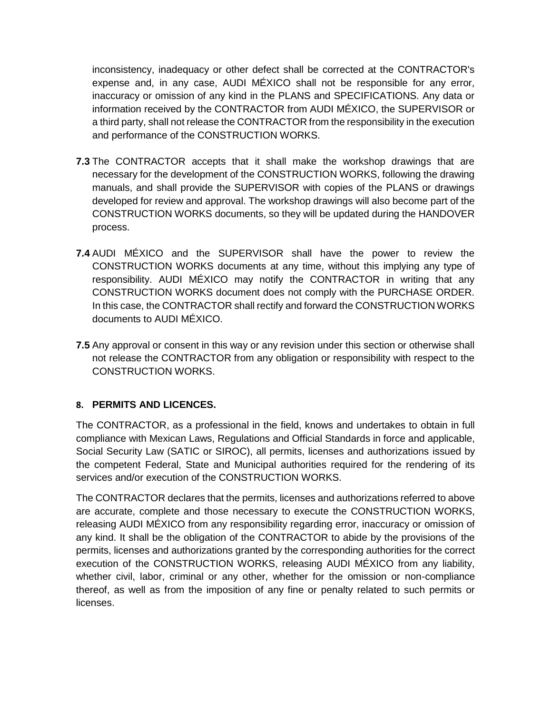inconsistency, inadequacy or other defect shall be corrected at the CONTRACTOR's expense and, in any case, AUDI MÉXICO shall not be responsible for any error, inaccuracy or omission of any kind in the PLANS and SPECIFICATIONS. Any data or information received by the CONTRACTOR from AUDI MÉXICO, the SUPERVISOR or a third party, shall not release the CONTRACTOR from the responsibility in the execution and performance of the CONSTRUCTION WORKS.

- **7.3** The CONTRACTOR accepts that it shall make the workshop drawings that are necessary for the development of the CONSTRUCTION WORKS, following the drawing manuals, and shall provide the SUPERVISOR with copies of the PLANS or drawings developed for review and approval. The workshop drawings will also become part of the CONSTRUCTION WORKS documents, so they will be updated during the HANDOVER process.
- **7.4** AUDI MÉXICO and the SUPERVISOR shall have the power to review the CONSTRUCTION WORKS documents at any time, without this implying any type of responsibility. AUDI MÉXICO may notify the CONTRACTOR in writing that any CONSTRUCTION WORKS document does not comply with the PURCHASE ORDER. In this case, the CONTRACTOR shall rectify and forward the CONSTRUCTION WORKS documents to AUDI MÉXICO.
- **7.5** Any approval or consent in this way or any revision under this section or otherwise shall not release the CONTRACTOR from any obligation or responsibility with respect to the CONSTRUCTION WORKS.

### **8. PERMITS AND LICENCES.**

The CONTRACTOR, as a professional in the field, knows and undertakes to obtain in full compliance with Mexican Laws, Regulations and Official Standards in force and applicable, Social Security Law (SATIC or SIROC), all permits, licenses and authorizations issued by the competent Federal, State and Municipal authorities required for the rendering of its services and/or execution of the CONSTRUCTION WORKS.

The CONTRACTOR declares that the permits, licenses and authorizations referred to above are accurate, complete and those necessary to execute the CONSTRUCTION WORKS, releasing AUDI MÉXICO from any responsibility regarding error, inaccuracy or omission of any kind. It shall be the obligation of the CONTRACTOR to abide by the provisions of the permits, licenses and authorizations granted by the corresponding authorities for the correct execution of the CONSTRUCTION WORKS, releasing AUDI MÉXICO from any liability, whether civil, labor, criminal or any other, whether for the omission or non-compliance thereof, as well as from the imposition of any fine or penalty related to such permits or licenses.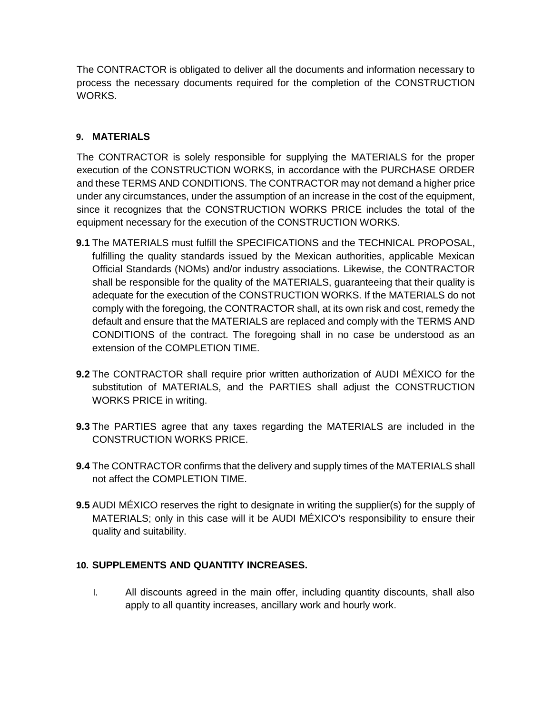The CONTRACTOR is obligated to deliver all the documents and information necessary to process the necessary documents required for the completion of the CONSTRUCTION WORKS.

### **9. MATERIALS**

The CONTRACTOR is solely responsible for supplying the MATERIALS for the proper execution of the CONSTRUCTION WORKS, in accordance with the PURCHASE ORDER and these TERMS AND CONDITIONS. The CONTRACTOR may not demand a higher price under any circumstances, under the assumption of an increase in the cost of the equipment, since it recognizes that the CONSTRUCTION WORKS PRICE includes the total of the equipment necessary for the execution of the CONSTRUCTION WORKS.

- **9.1** The MATERIALS must fulfill the SPECIFICATIONS and the TECHNICAL PROPOSAL, fulfilling the quality standards issued by the Mexican authorities, applicable Mexican Official Standards (NOMs) and/or industry associations. Likewise, the CONTRACTOR shall be responsible for the quality of the MATERIALS, guaranteeing that their quality is adequate for the execution of the CONSTRUCTION WORKS. If the MATERIALS do not comply with the foregoing, the CONTRACTOR shall, at its own risk and cost, remedy the default and ensure that the MATERIALS are replaced and comply with the TERMS AND CONDITIONS of the contract. The foregoing shall in no case be understood as an extension of the COMPLETION TIME.
- **9.2** The CONTRACTOR shall require prior written authorization of AUDI MÉXICO for the substitution of MATERIALS, and the PARTIES shall adjust the CONSTRUCTION WORKS PRICE in writing.
- **9.3** The PARTIES agree that any taxes regarding the MATERIALS are included in the CONSTRUCTION WORKS PRICE.
- **9.4** The CONTRACTOR confirms that the delivery and supply times of the MATERIALS shall not affect the COMPLETION TIME.
- **9.5** AUDI MÉXICO reserves the right to designate in writing the supplier(s) for the supply of MATERIALS; only in this case will it be AUDI MÉXICO's responsibility to ensure their quality and suitability.

### **10. SUPPLEMENTS AND QUANTITY INCREASES.**

I. All discounts agreed in the main offer, including quantity discounts, shall also apply to all quantity increases, ancillary work and hourly work.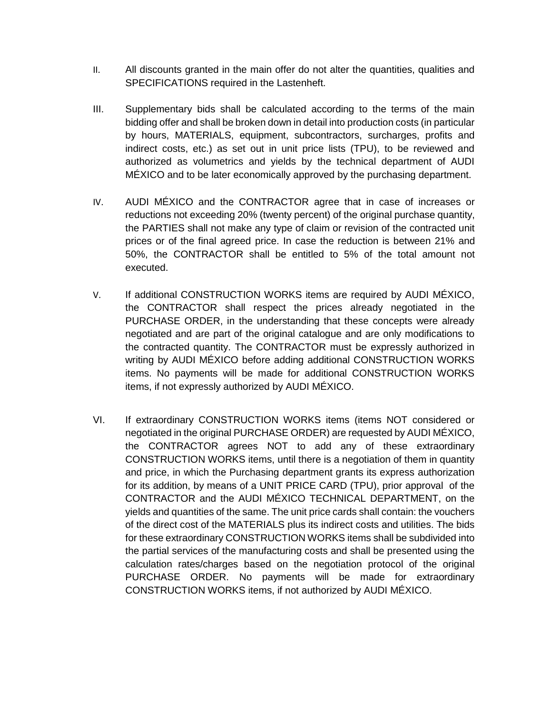- II. All discounts granted in the main offer do not alter the quantities, qualities and SPECIFICATIONS required in the Lastenheft.
- III. Supplementary bids shall be calculated according to the terms of the main bidding offer and shall be broken down in detail into production costs (in particular by hours, MATERIALS, equipment, subcontractors, surcharges, profits and indirect costs, etc.) as set out in unit price lists (TPU), to be reviewed and authorized as volumetrics and yields by the technical department of AUDI MÉXICO and to be later economically approved by the purchasing department.
- IV. AUDI MÉXICO and the CONTRACTOR agree that in case of increases or reductions not exceeding 20% (twenty percent) of the original purchase quantity, the PARTIES shall not make any type of claim or revision of the contracted unit prices or of the final agreed price. In case the reduction is between 21% and 50%, the CONTRACTOR shall be entitled to 5% of the total amount not executed.
- V. If additional CONSTRUCTION WORKS items are required by AUDI MÉXICO, the CONTRACTOR shall respect the prices already negotiated in the PURCHASE ORDER, in the understanding that these concepts were already negotiated and are part of the original catalogue and are only modifications to the contracted quantity. The CONTRACTOR must be expressly authorized in writing by AUDI MÉXICO before adding additional CONSTRUCTION WORKS items. No payments will be made for additional CONSTRUCTION WORKS items, if not expressly authorized by AUDI MÉXICO.
- VI. If extraordinary CONSTRUCTION WORKS items (items NOT considered or negotiated in the original PURCHASE ORDER) are requested by AUDI MÉXICO, the CONTRACTOR agrees NOT to add any of these extraordinary CONSTRUCTION WORKS items, until there is a negotiation of them in quantity and price, in which the Purchasing department grants its express authorization for its addition, by means of a UNIT PRICE CARD (TPU), prior approval of the CONTRACTOR and the AUDI MÉXICO TECHNICAL DEPARTMENT, on the yields and quantities of the same. The unit price cards shall contain: the vouchers of the direct cost of the MATERIALS plus its indirect costs and utilities. The bids for these extraordinary CONSTRUCTION WORKS items shall be subdivided into the partial services of the manufacturing costs and shall be presented using the calculation rates/charges based on the negotiation protocol of the original PURCHASE ORDER. No payments will be made for extraordinary CONSTRUCTION WORKS items, if not authorized by AUDI MÉXICO.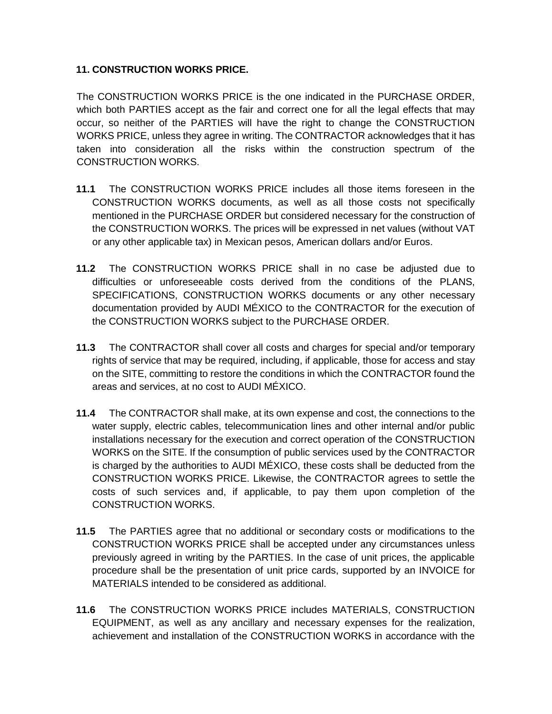#### **11. CONSTRUCTION WORKS PRICE.**

The CONSTRUCTION WORKS PRICE is the one indicated in the PURCHASE ORDER, which both PARTIES accept as the fair and correct one for all the legal effects that may occur, so neither of the PARTIES will have the right to change the CONSTRUCTION WORKS PRICE, unless they agree in writing. The CONTRACTOR acknowledges that it has taken into consideration all the risks within the construction spectrum of the CONSTRUCTION WORKS.

- **11.1** The CONSTRUCTION WORKS PRICE includes all those items foreseen in the CONSTRUCTION WORKS documents, as well as all those costs not specifically mentioned in the PURCHASE ORDER but considered necessary for the construction of the CONSTRUCTION WORKS. The prices will be expressed in net values (without VAT or any other applicable tax) in Mexican pesos, American dollars and/or Euros.
- **11.2** The CONSTRUCTION WORKS PRICE shall in no case be adjusted due to difficulties or unforeseeable costs derived from the conditions of the PLANS, SPECIFICATIONS, CONSTRUCTION WORKS documents or any other necessary documentation provided by AUDI MÉXICO to the CONTRACTOR for the execution of the CONSTRUCTION WORKS subject to the PURCHASE ORDER.
- **11.3** The CONTRACTOR shall cover all costs and charges for special and/or temporary rights of service that may be required, including, if applicable, those for access and stay on the SITE, committing to restore the conditions in which the CONTRACTOR found the areas and services, at no cost to AUDI MÉXICO.
- **11.4** The CONTRACTOR shall make, at its own expense and cost, the connections to the water supply, electric cables, telecommunication lines and other internal and/or public installations necessary for the execution and correct operation of the CONSTRUCTION WORKS on the SITE. If the consumption of public services used by the CONTRACTOR is charged by the authorities to AUDI MÉXICO, these costs shall be deducted from the CONSTRUCTION WORKS PRICE. Likewise, the CONTRACTOR agrees to settle the costs of such services and, if applicable, to pay them upon completion of the CONSTRUCTION WORKS.
- **11.5** The PARTIES agree that no additional or secondary costs or modifications to the CONSTRUCTION WORKS PRICE shall be accepted under any circumstances unless previously agreed in writing by the PARTIES. In the case of unit prices, the applicable procedure shall be the presentation of unit price cards, supported by an INVOICE for MATERIALS intended to be considered as additional.
- **11.6** The CONSTRUCTION WORKS PRICE includes MATERIALS, CONSTRUCTION EQUIPMENT, as well as any ancillary and necessary expenses for the realization, achievement and installation of the CONSTRUCTION WORKS in accordance with the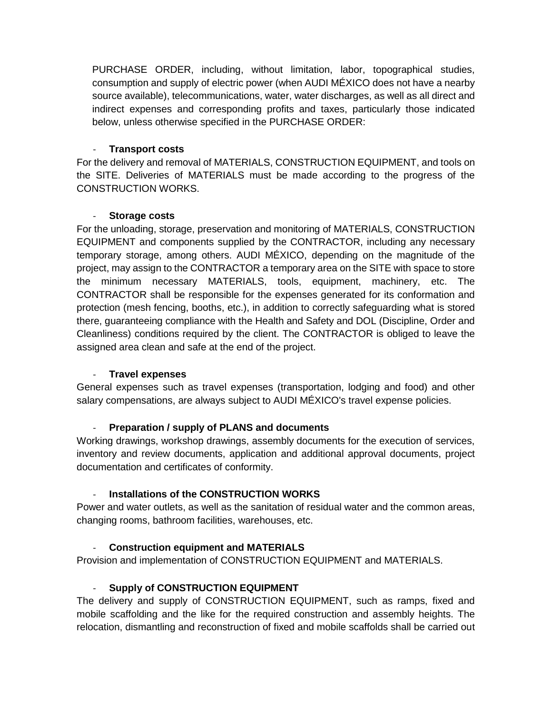PURCHASE ORDER, including, without limitation, labor, topographical studies, consumption and supply of electric power (when AUDI MÉXICO does not have a nearby source available), telecommunications, water, water discharges, as well as all direct and indirect expenses and corresponding profits and taxes, particularly those indicated below, unless otherwise specified in the PURCHASE ORDER:

#### - **Transport costs**

For the delivery and removal of MATERIALS, CONSTRUCTION EQUIPMENT, and tools on the SITE. Deliveries of MATERIALS must be made according to the progress of the CONSTRUCTION WORKS.

#### - **Storage costs**

For the unloading, storage, preservation and monitoring of MATERIALS, CONSTRUCTION EQUIPMENT and components supplied by the CONTRACTOR, including any necessary temporary storage, among others. AUDI MÉXICO, depending on the magnitude of the project, may assign to the CONTRACTOR a temporary area on the SITE with space to store the minimum necessary MATERIALS, tools, equipment, machinery, etc. The CONTRACTOR shall be responsible for the expenses generated for its conformation and protection (mesh fencing, booths, etc.), in addition to correctly safeguarding what is stored there, guaranteeing compliance with the Health and Safety and DOL (Discipline, Order and Cleanliness) conditions required by the client. The CONTRACTOR is obliged to leave the assigned area clean and safe at the end of the project.

#### - **Travel expenses**

General expenses such as travel expenses (transportation, lodging and food) and other salary compensations, are always subject to AUDI MÉXICO's travel expense policies.

### - **Preparation / supply of PLANS and documents**

Working drawings, workshop drawings, assembly documents for the execution of services, inventory and review documents, application and additional approval documents, project documentation and certificates of conformity.

### **Installations of the CONSTRUCTION WORKS**

Power and water outlets, as well as the sanitation of residual water and the common areas, changing rooms, bathroom facilities, warehouses, etc.

#### - **Construction equipment and MATERIALS**

Provision and implementation of CONSTRUCTION EQUIPMENT and MATERIALS.

### **Supply of CONSTRUCTION EQUIPMENT**

The delivery and supply of CONSTRUCTION EQUIPMENT, such as ramps, fixed and mobile scaffolding and the like for the required construction and assembly heights. The relocation, dismantling and reconstruction of fixed and mobile scaffolds shall be carried out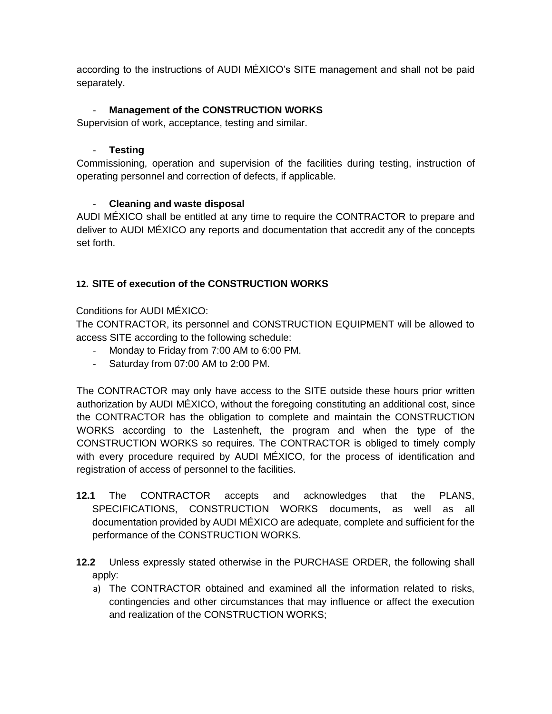according to the instructions of AUDI MÉXICO's SITE management and shall not be paid separately.

### **Management of the CONSTRUCTION WORKS**

Supervision of work, acceptance, testing and similar.

#### - **Testing**

Commissioning, operation and supervision of the facilities during testing, instruction of operating personnel and correction of defects, if applicable.

#### - **Cleaning and waste disposal**

AUDI MÉXICO shall be entitled at any time to require the CONTRACTOR to prepare and deliver to AUDI MÉXICO any reports and documentation that accredit any of the concepts set forth.

### **12. SITE of execution of the CONSTRUCTION WORKS**

Conditions for AUDI MÉXICO:

The CONTRACTOR, its personnel and CONSTRUCTION EQUIPMENT will be allowed to access SITE according to the following schedule:

- Monday to Friday from 7:00 AM to 6:00 PM.
- Saturday from 07:00 AM to 2:00 PM.

The CONTRACTOR may only have access to the SITE outside these hours prior written authorization by AUDI MÉXICO, without the foregoing constituting an additional cost, since the CONTRACTOR has the obligation to complete and maintain the CONSTRUCTION WORKS according to the Lastenheft, the program and when the type of the CONSTRUCTION WORKS so requires. The CONTRACTOR is obliged to timely comply with every procedure required by AUDI MÉXICO, for the process of identification and registration of access of personnel to the facilities.

- **12.1** The CONTRACTOR accepts and acknowledges that the PLANS, SPECIFICATIONS, CONSTRUCTION WORKS documents, as well as all documentation provided by AUDI MÉXICO are adequate, complete and sufficient for the performance of the CONSTRUCTION WORKS.
- **12.2** Unless expressly stated otherwise in the PURCHASE ORDER, the following shall apply:
	- a) The CONTRACTOR obtained and examined all the information related to risks, contingencies and other circumstances that may influence or affect the execution and realization of the CONSTRUCTION WORKS;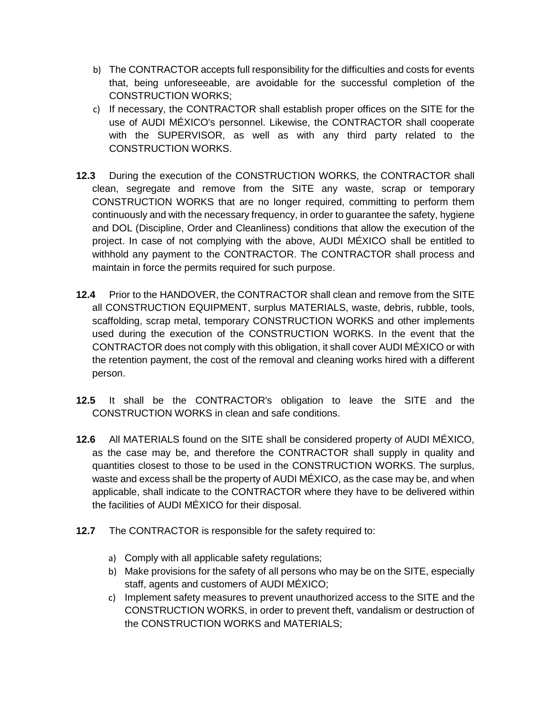- b) The CONTRACTOR accepts full responsibility for the difficulties and costs for events that, being unforeseeable, are avoidable for the successful completion of the CONSTRUCTION WORKS;
- c) If necessary, the CONTRACTOR shall establish proper offices on the SITE for the use of AUDI MÉXICO's personnel. Likewise, the CONTRACTOR shall cooperate with the SUPERVISOR, as well as with any third party related to the CONSTRUCTION WORKS.
- **12.3** During the execution of the CONSTRUCTION WORKS, the CONTRACTOR shall clean, segregate and remove from the SITE any waste, scrap or temporary CONSTRUCTION WORKS that are no longer required, committing to perform them continuously and with the necessary frequency, in order to guarantee the safety, hygiene and DOL (Discipline, Order and Cleanliness) conditions that allow the execution of the project. In case of not complying with the above, AUDI MÉXICO shall be entitled to withhold any payment to the CONTRACTOR. The CONTRACTOR shall process and maintain in force the permits required for such purpose.
- **12.4** Prior to the HANDOVER, the CONTRACTOR shall clean and remove from the SITE all CONSTRUCTION EQUIPMENT, surplus MATERIALS, waste, debris, rubble, tools, scaffolding, scrap metal, temporary CONSTRUCTION WORKS and other implements used during the execution of the CONSTRUCTION WORKS. In the event that the CONTRACTOR does not comply with this obligation, it shall cover AUDI MÉXICO or with the retention payment, the cost of the removal and cleaning works hired with a different person.
- **12.5** It shall be the CONTRACTOR's obligation to leave the SITE and the CONSTRUCTION WORKS in clean and safe conditions.
- **12.6** All MATERIALS found on the SITE shall be considered property of AUDI MÉXICO, as the case may be, and therefore the CONTRACTOR shall supply in quality and quantities closest to those to be used in the CONSTRUCTION WORKS. The surplus, waste and excess shall be the property of AUDI MÉXICO, as the case may be, and when applicable, shall indicate to the CONTRACTOR where they have to be delivered within the facilities of AUDI MÉXICO for their disposal.
- **12.7** The CONTRACTOR is responsible for the safety required to:
	- a) Comply with all applicable safety regulations;
	- b) Make provisions for the safety of all persons who may be on the SITE, especially staff, agents and customers of AUDI MÉXICO;
	- c) Implement safety measures to prevent unauthorized access to the SITE and the CONSTRUCTION WORKS, in order to prevent theft, vandalism or destruction of the CONSTRUCTION WORKS and MATERIALS;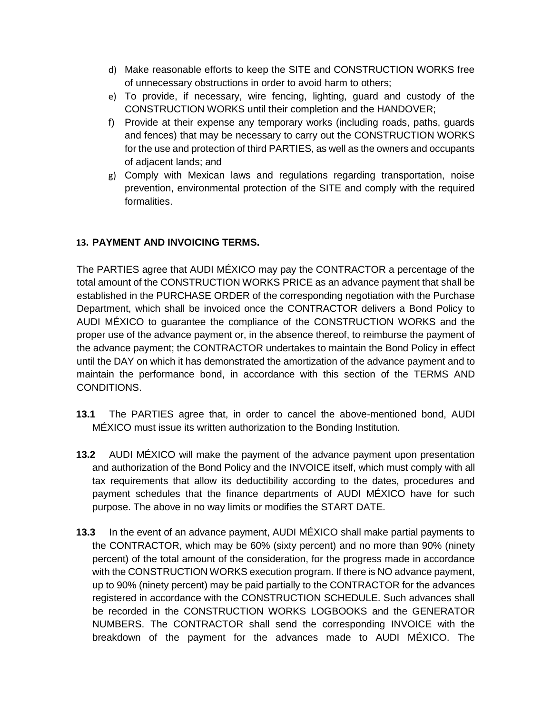- d) Make reasonable efforts to keep the SITE and CONSTRUCTION WORKS free of unnecessary obstructions in order to avoid harm to others;
- e) To provide, if necessary, wire fencing, lighting, guard and custody of the CONSTRUCTION WORKS until their completion and the HANDOVER;
- f) Provide at their expense any temporary works (including roads, paths, guards and fences) that may be necessary to carry out the CONSTRUCTION WORKS for the use and protection of third PARTIES, as well as the owners and occupants of adjacent lands; and
- g) Comply with Mexican laws and regulations regarding transportation, noise prevention, environmental protection of the SITE and comply with the required formalities.

### **13. PAYMENT AND INVOICING TERMS.**

The PARTIES agree that AUDI MÉXICO may pay the CONTRACTOR a percentage of the total amount of the CONSTRUCTION WORKS PRICE as an advance payment that shall be established in the PURCHASE ORDER of the corresponding negotiation with the Purchase Department, which shall be invoiced once the CONTRACTOR delivers a Bond Policy to AUDI MÉXICO to guarantee the compliance of the CONSTRUCTION WORKS and the proper use of the advance payment or, in the absence thereof, to reimburse the payment of the advance payment; the CONTRACTOR undertakes to maintain the Bond Policy in effect until the DAY on which it has demonstrated the amortization of the advance payment and to maintain the performance bond, in accordance with this section of the TERMS AND CONDITIONS.

- **13.1** The PARTIES agree that, in order to cancel the above-mentioned bond, AUDI MÉXICO must issue its written authorization to the Bonding Institution.
- **13.2** AUDI MÉXICO will make the payment of the advance payment upon presentation and authorization of the Bond Policy and the INVOICE itself, which must comply with all tax requirements that allow its deductibility according to the dates, procedures and payment schedules that the finance departments of AUDI MÉXICO have for such purpose. The above in no way limits or modifies the START DATE.
- **13.3** In the event of an advance payment, AUDI MÉXICO shall make partial payments to the CONTRACTOR, which may be 60% (sixty percent) and no more than 90% (ninety percent) of the total amount of the consideration, for the progress made in accordance with the CONSTRUCTION WORKS execution program. If there is NO advance payment, up to 90% (ninety percent) may be paid partially to the CONTRACTOR for the advances registered in accordance with the CONSTRUCTION SCHEDULE. Such advances shall be recorded in the CONSTRUCTION WORKS LOGBOOKS and the GENERATOR NUMBERS. The CONTRACTOR shall send the corresponding INVOICE with the breakdown of the payment for the advances made to AUDI MÉXICO. The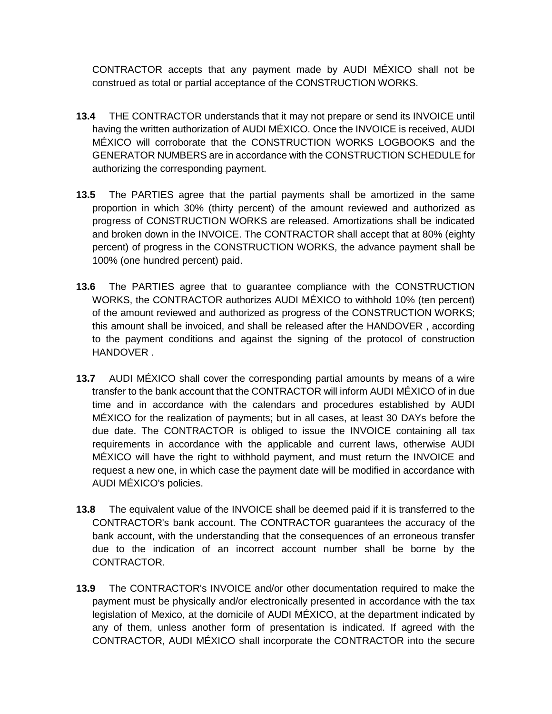CONTRACTOR accepts that any payment made by AUDI MÉXICO shall not be construed as total or partial acceptance of the CONSTRUCTION WORKS.

- **13.4** THE CONTRACTOR understands that it may not prepare or send its INVOICE until having the written authorization of AUDI MÉXICO. Once the INVOICE is received, AUDI MÉXICO will corroborate that the CONSTRUCTION WORKS LOGBOOKS and the GENERATOR NUMBERS are in accordance with the CONSTRUCTION SCHEDULE for authorizing the corresponding payment.
- **13.5** The PARTIES agree that the partial payments shall be amortized in the same proportion in which 30% (thirty percent) of the amount reviewed and authorized as progress of CONSTRUCTION WORKS are released. Amortizations shall be indicated and broken down in the INVOICE. The CONTRACTOR shall accept that at 80% (eighty percent) of progress in the CONSTRUCTION WORKS, the advance payment shall be 100% (one hundred percent) paid.
- **13.6** The PARTIES agree that to guarantee compliance with the CONSTRUCTION WORKS, the CONTRACTOR authorizes AUDI MÉXICO to withhold 10% (ten percent) of the amount reviewed and authorized as progress of the CONSTRUCTION WORKS; this amount shall be invoiced, and shall be released after the HANDOVER , according to the payment conditions and against the signing of the protocol of construction HANDOVER .
- **13.7** AUDI MÉXICO shall cover the corresponding partial amounts by means of a wire transfer to the bank account that the CONTRACTOR will inform AUDI MÉXICO of in due time and in accordance with the calendars and procedures established by AUDI MÉXICO for the realization of payments; but in all cases, at least 30 DAYs before the due date. The CONTRACTOR is obliged to issue the INVOICE containing all tax requirements in accordance with the applicable and current laws, otherwise AUDI MÉXICO will have the right to withhold payment, and must return the INVOICE and request a new one, in which case the payment date will be modified in accordance with AUDI MÉXICO's policies.
- **13.8** The equivalent value of the INVOICE shall be deemed paid if it is transferred to the CONTRACTOR's bank account. The CONTRACTOR guarantees the accuracy of the bank account, with the understanding that the consequences of an erroneous transfer due to the indication of an incorrect account number shall be borne by the CONTRACTOR.
- **13.9** The CONTRACTOR's INVOICE and/or other documentation required to make the payment must be physically and/or electronically presented in accordance with the tax legislation of Mexico, at the domicile of AUDI MÉXICO, at the department indicated by any of them, unless another form of presentation is indicated. If agreed with the CONTRACTOR, AUDI MÉXICO shall incorporate the CONTRACTOR into the secure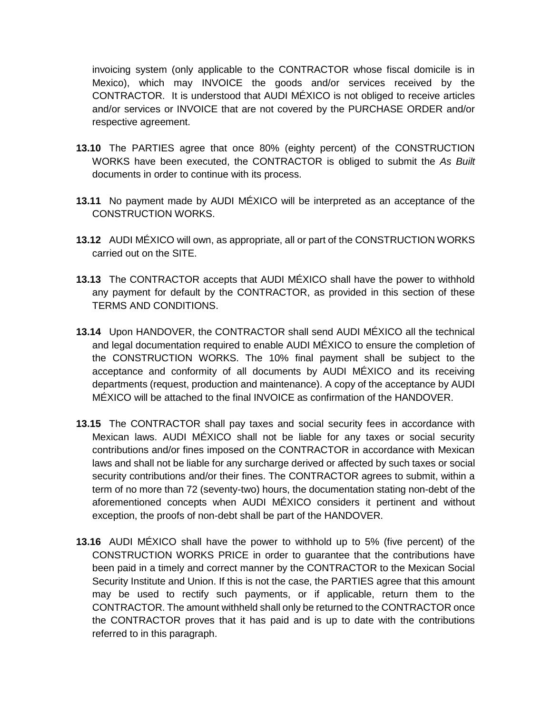invoicing system (only applicable to the CONTRACTOR whose fiscal domicile is in Mexico), which may INVOICE the goods and/or services received by the CONTRACTOR. It is understood that AUDI MÉXICO is not obliged to receive articles and/or services or INVOICE that are not covered by the PURCHASE ORDER and/or respective agreement.

- **13.10** The PARTIES agree that once 80% (eighty percent) of the CONSTRUCTION WORKS have been executed, the CONTRACTOR is obliged to submit the *As Built* documents in order to continue with its process.
- **13.11** No payment made by AUDI MÉXICO will be interpreted as an acceptance of the CONSTRUCTION WORKS.
- **13.12** AUDI MÉXICO will own, as appropriate, all or part of the CONSTRUCTION WORKS carried out on the SITE.
- **13.13** The CONTRACTOR accepts that AUDI MÉXICO shall have the power to withhold any payment for default by the CONTRACTOR, as provided in this section of these TERMS AND CONDITIONS.
- **13.14** Upon HANDOVER, the CONTRACTOR shall send AUDI MÉXICO all the technical and legal documentation required to enable AUDI MÉXICO to ensure the completion of the CONSTRUCTION WORKS. The 10% final payment shall be subject to the acceptance and conformity of all documents by AUDI MÉXICO and its receiving departments (request, production and maintenance). A copy of the acceptance by AUDI MÉXICO will be attached to the final INVOICE as confirmation of the HANDOVER.
- **13.15** The CONTRACTOR shall pay taxes and social security fees in accordance with Mexican laws. AUDI MÉXICO shall not be liable for any taxes or social security contributions and/or fines imposed on the CONTRACTOR in accordance with Mexican laws and shall not be liable for any surcharge derived or affected by such taxes or social security contributions and/or their fines. The CONTRACTOR agrees to submit, within a term of no more than 72 (seventy-two) hours, the documentation stating non-debt of the aforementioned concepts when AUDI MÉXICO considers it pertinent and without exception, the proofs of non-debt shall be part of the HANDOVER.
- **13.16** AUDI MÉXICO shall have the power to withhold up to 5% (five percent) of the CONSTRUCTION WORKS PRICE in order to guarantee that the contributions have been paid in a timely and correct manner by the CONTRACTOR to the Mexican Social Security Institute and Union. If this is not the case, the PARTIES agree that this amount may be used to rectify such payments, or if applicable, return them to the CONTRACTOR. The amount withheld shall only be returned to the CONTRACTOR once the CONTRACTOR proves that it has paid and is up to date with the contributions referred to in this paragraph.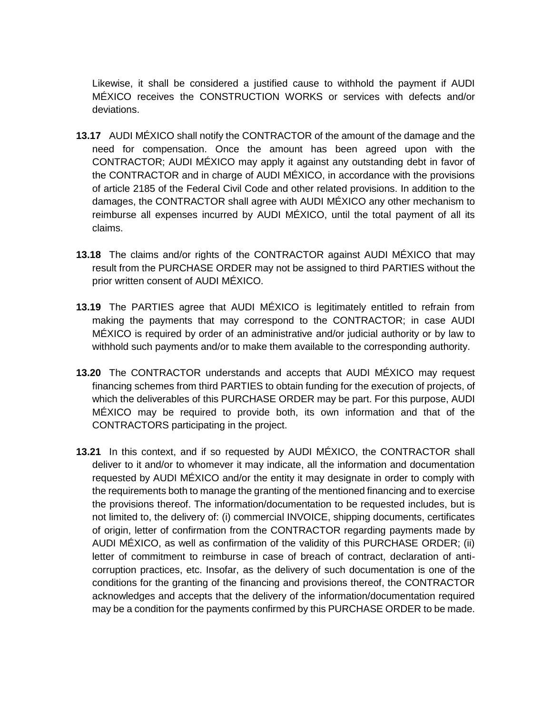Likewise, it shall be considered a justified cause to withhold the payment if AUDI MÉXICO receives the CONSTRUCTION WORKS or services with defects and/or deviations.

- **13.17** AUDI MÉXICO shall notify the CONTRACTOR of the amount of the damage and the need for compensation. Once the amount has been agreed upon with the CONTRACTOR; AUDI MÉXICO may apply it against any outstanding debt in favor of the CONTRACTOR and in charge of AUDI MÉXICO, in accordance with the provisions of article 2185 of the Federal Civil Code and other related provisions. In addition to the damages, the CONTRACTOR shall agree with AUDI MÉXICO any other mechanism to reimburse all expenses incurred by AUDI MÉXICO, until the total payment of all its claims.
- **13.18** The claims and/or rights of the CONTRACTOR against AUDI MÉXICO that may result from the PURCHASE ORDER may not be assigned to third PARTIES without the prior written consent of AUDI MÉXICO.
- **13.19** The PARTIES agree that AUDI MÉXICO is legitimately entitled to refrain from making the payments that may correspond to the CONTRACTOR; in case AUDI MÉXICO is required by order of an administrative and/or judicial authority or by law to withhold such payments and/or to make them available to the corresponding authority.
- **13.20** The CONTRACTOR understands and accepts that AUDI MÉXICO may request financing schemes from third PARTIES to obtain funding for the execution of projects, of which the deliverables of this PURCHASE ORDER may be part. For this purpose, AUDI MÉXICO may be required to provide both, its own information and that of the CONTRACTORS participating in the project.
- **13.21** In this context, and if so requested by AUDI MÉXICO, the CONTRACTOR shall deliver to it and/or to whomever it may indicate, all the information and documentation requested by AUDI MÉXICO and/or the entity it may designate in order to comply with the requirements both to manage the granting of the mentioned financing and to exercise the provisions thereof. The information/documentation to be requested includes, but is not limited to, the delivery of: (i) commercial INVOICE, shipping documents, certificates of origin, letter of confirmation from the CONTRACTOR regarding payments made by AUDI MÉXICO, as well as confirmation of the validity of this PURCHASE ORDER; (ii) letter of commitment to reimburse in case of breach of contract, declaration of anticorruption practices, etc. Insofar, as the delivery of such documentation is one of the conditions for the granting of the financing and provisions thereof, the CONTRACTOR acknowledges and accepts that the delivery of the information/documentation required may be a condition for the payments confirmed by this PURCHASE ORDER to be made.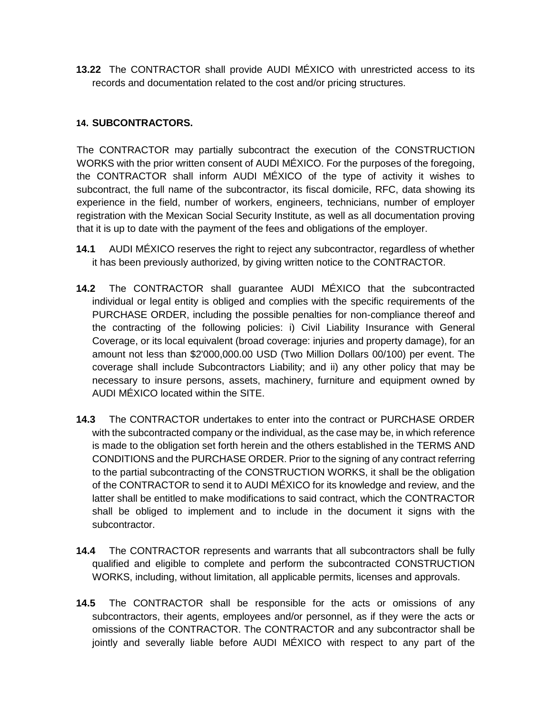**13.22** The CONTRACTOR shall provide AUDI MÉXICO with unrestricted access to its records and documentation related to the cost and/or pricing structures.

### **14. SUBCONTRACTORS.**

The CONTRACTOR may partially subcontract the execution of the CONSTRUCTION WORKS with the prior written consent of AUDI MÉXICO. For the purposes of the foregoing, the CONTRACTOR shall inform AUDI MÉXICO of the type of activity it wishes to subcontract, the full name of the subcontractor, its fiscal domicile, RFC, data showing its experience in the field, number of workers, engineers, technicians, number of employer registration with the Mexican Social Security Institute, as well as all documentation proving that it is up to date with the payment of the fees and obligations of the employer.

- **14.1** AUDI MÉXICO reserves the right to reject any subcontractor, regardless of whether it has been previously authorized, by giving written notice to the CONTRACTOR.
- **14.2** The CONTRACTOR shall guarantee AUDI MÉXICO that the subcontracted individual or legal entity is obliged and complies with the specific requirements of the PURCHASE ORDER, including the possible penalties for non-compliance thereof and the contracting of the following policies: i) Civil Liability Insurance with General Coverage, or its local equivalent (broad coverage: injuries and property damage), for an amount not less than \$2'000,000.00 USD (Two Million Dollars 00/100) per event. The coverage shall include Subcontractors Liability; and ii) any other policy that may be necessary to insure persons, assets, machinery, furniture and equipment owned by AUDI MÉXICO located within the SITE.
- **14.3** The CONTRACTOR undertakes to enter into the contract or PURCHASE ORDER with the subcontracted company or the individual, as the case may be, in which reference is made to the obligation set forth herein and the others established in the TERMS AND CONDITIONS and the PURCHASE ORDER. Prior to the signing of any contract referring to the partial subcontracting of the CONSTRUCTION WORKS, it shall be the obligation of the CONTRACTOR to send it to AUDI MÉXICO for its knowledge and review, and the latter shall be entitled to make modifications to said contract, which the CONTRACTOR shall be obliged to implement and to include in the document it signs with the subcontractor.
- **14.4** The CONTRACTOR represents and warrants that all subcontractors shall be fully qualified and eligible to complete and perform the subcontracted CONSTRUCTION WORKS, including, without limitation, all applicable permits, licenses and approvals.
- **14.5** The CONTRACTOR shall be responsible for the acts or omissions of any subcontractors, their agents, employees and/or personnel, as if they were the acts or omissions of the CONTRACTOR. The CONTRACTOR and any subcontractor shall be jointly and severally liable before AUDI MÉXICO with respect to any part of the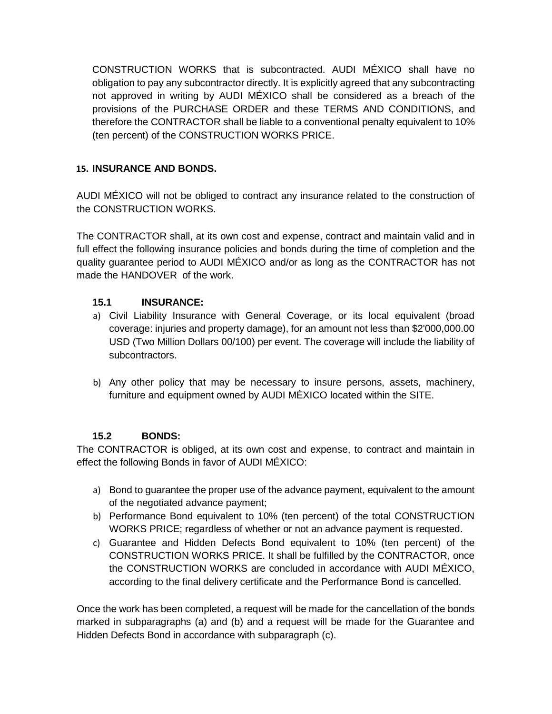CONSTRUCTION WORKS that is subcontracted. AUDI MÉXICO shall have no obligation to pay any subcontractor directly. It is explicitly agreed that any subcontracting not approved in writing by AUDI MÉXICO shall be considered as a breach of the provisions of the PURCHASE ORDER and these TERMS AND CONDITIONS, and therefore the CONTRACTOR shall be liable to a conventional penalty equivalent to 10% (ten percent) of the CONSTRUCTION WORKS PRICE.

### **15. INSURANCE AND BONDS.**

AUDI MÉXICO will not be obliged to contract any insurance related to the construction of the CONSTRUCTION WORKS.

The CONTRACTOR shall, at its own cost and expense, contract and maintain valid and in full effect the following insurance policies and bonds during the time of completion and the quality guarantee period to AUDI MÉXICO and/or as long as the CONTRACTOR has not made the HANDOVER of the work.

### **15.1 INSURANCE:**

- a) Civil Liability Insurance with General Coverage, or its local equivalent (broad coverage: injuries and property damage), for an amount not less than \$2'000,000.00 USD (Two Million Dollars 00/100) per event. The coverage will include the liability of subcontractors.
- b) Any other policy that may be necessary to insure persons, assets, machinery, furniture and equipment owned by AUDI MÉXICO located within the SITE.

### **15.2 BONDS:**

The CONTRACTOR is obliged, at its own cost and expense, to contract and maintain in effect the following Bonds in favor of AUDI MÉXICO:

- a) Bond to guarantee the proper use of the advance payment, equivalent to the amount of the negotiated advance payment;
- b) Performance Bond equivalent to 10% (ten percent) of the total CONSTRUCTION WORKS PRICE; regardless of whether or not an advance payment is requested.
- c) Guarantee and Hidden Defects Bond equivalent to 10% (ten percent) of the CONSTRUCTION WORKS PRICE. It shall be fulfilled by the CONTRACTOR, once the CONSTRUCTION WORKS are concluded in accordance with AUDI MÉXICO, according to the final delivery certificate and the Performance Bond is cancelled.

Once the work has been completed, a request will be made for the cancellation of the bonds marked in subparagraphs (a) and (b) and a request will be made for the Guarantee and Hidden Defects Bond in accordance with subparagraph (c).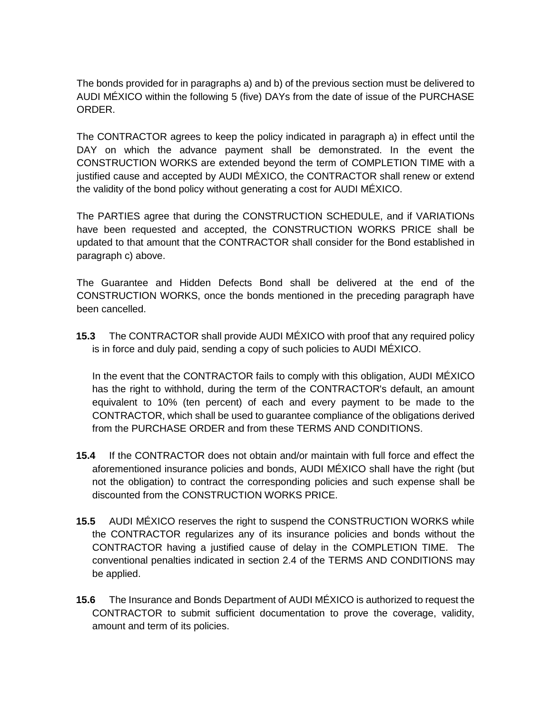The bonds provided for in paragraphs a) and b) of the previous section must be delivered to AUDI MÉXICO within the following 5 (five) DAYs from the date of issue of the PURCHASE ORDER.

The CONTRACTOR agrees to keep the policy indicated in paragraph a) in effect until the DAY on which the advance payment shall be demonstrated. In the event the CONSTRUCTION WORKS are extended beyond the term of COMPLETION TIME with a justified cause and accepted by AUDI MÉXICO, the CONTRACTOR shall renew or extend the validity of the bond policy without generating a cost for AUDI MÉXICO.

The PARTIES agree that during the CONSTRUCTION SCHEDULE, and if VARIATIONs have been requested and accepted, the CONSTRUCTION WORKS PRICE shall be updated to that amount that the CONTRACTOR shall consider for the Bond established in paragraph c) above.

The Guarantee and Hidden Defects Bond shall be delivered at the end of the CONSTRUCTION WORKS, once the bonds mentioned in the preceding paragraph have been cancelled.

**15.3** The CONTRACTOR shall provide AUDI MÉXICO with proof that any required policy is in force and duly paid, sending a copy of such policies to AUDI MÉXICO.

In the event that the CONTRACTOR fails to comply with this obligation, AUDI MÉXICO has the right to withhold, during the term of the CONTRACTOR's default, an amount equivalent to 10% (ten percent) of each and every payment to be made to the CONTRACTOR, which shall be used to guarantee compliance of the obligations derived from the PURCHASE ORDER and from these TERMS AND CONDITIONS.

- **15.4** If the CONTRACTOR does not obtain and/or maintain with full force and effect the aforementioned insurance policies and bonds, AUDI MÉXICO shall have the right (but not the obligation) to contract the corresponding policies and such expense shall be discounted from the CONSTRUCTION WORKS PRICE.
- **15.5** AUDI MÉXICO reserves the right to suspend the CONSTRUCTION WORKS while the CONTRACTOR regularizes any of its insurance policies and bonds without the CONTRACTOR having a justified cause of delay in the COMPLETION TIME. The conventional penalties indicated in section 2.4 of the TERMS AND CONDITIONS may be applied.
- **15.6** The Insurance and Bonds Department of AUDI MÉXICO is authorized to request the CONTRACTOR to submit sufficient documentation to prove the coverage, validity, amount and term of its policies.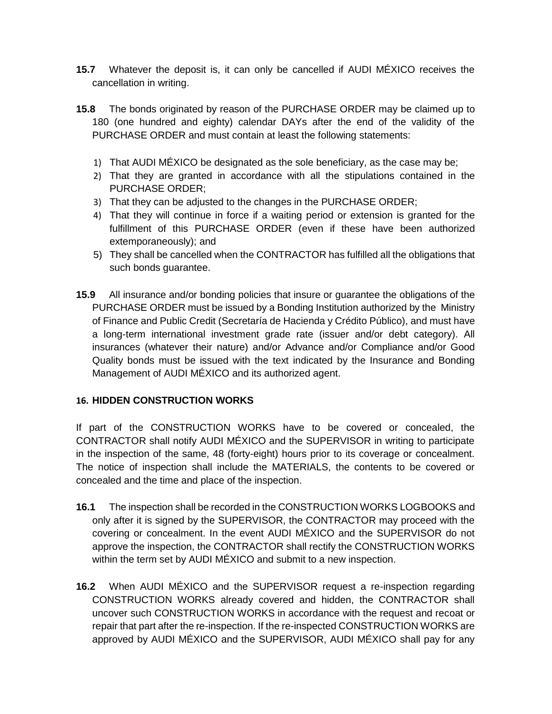- **15.7** Whatever the deposit is, it can only be cancelled if AUDI MÉXICO receives the cancellation in writing.
- **15.8** The bonds originated by reason of the PURCHASE ORDER may be claimed up to 180 (one hundred and eighty) calendar DAYs after the end of the validity of the PURCHASE ORDER and must contain at least the following statements:
	- 1) That AUDI MÉXICO be designated as the sole beneficiary, as the case may be;
	- 2) That they are granted in accordance with all the stipulations contained in the PURCHASE ORDER;
	- 3) That they can be adjusted to the changes in the PURCHASE ORDER;
	- 4) That they will continue in force if a waiting period or extension is granted for the fulfillment of this PURCHASE ORDER (even if these have been authorized extemporaneously); and
	- 5) They shall be cancelled when the CONTRACTOR has fulfilled all the obligations that such bonds guarantee.
- **15.9** All insurance and/or bonding policies that insure or guarantee the obligations of the PURCHASE ORDER must be issued by a Bonding Institution authorized by the Ministry of Finance and Public Credit (Secretaría de Hacienda y Crédito Público), and must have a long-term international investment grade rate (issuer and/or debt category). All insurances (whatever their nature) and/or Advance and/or Compliance and/or Good Quality bonds must be issued with the text indicated by the Insurance and Bonding Management of AUDI MÉXICO and its authorized agent.

#### **16. HIDDEN CONSTRUCTION WORKS**

If part of the CONSTRUCTION WORKS have to be covered or concealed, the CONTRACTOR shall notify AUDI MÉXICO and the SUPERVISOR in writing to participate in the inspection of the same, 48 (forty-eight) hours prior to its coverage or concealment. The notice of inspection shall include the MATERIALS, the contents to be covered or concealed and the time and place of the inspection.

- **16.1** The inspection shall be recorded in the CONSTRUCTION WORKS LOGBOOKS and only after it is signed by the SUPERVISOR, the CONTRACTOR may proceed with the covering or concealment. In the event AUDI MÉXICO and the SUPERVISOR do not approve the inspection, the CONTRACTOR shall rectify the CONSTRUCTION WORKS within the term set by AUDI MÉXICO and submit to a new inspection.
- **16.2** When AUDI MÉXICO and the SUPERVISOR request a re-inspection regarding CONSTRUCTION WORKS already covered and hidden, the CONTRACTOR shall uncover such CONSTRUCTION WORKS in accordance with the request and recoat or repair that part after the re-inspection. If the re-inspected CONSTRUCTION WORKS are approved by AUDI MÉXICO and the SUPERVISOR, AUDI MÉXICO shall pay for any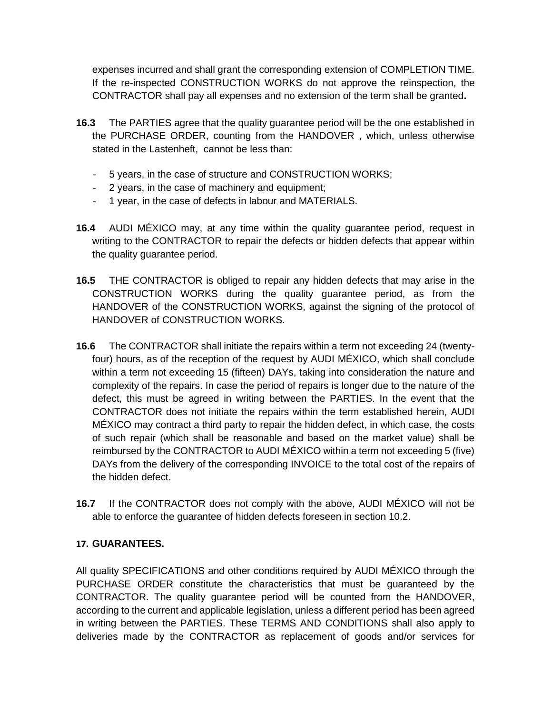expenses incurred and shall grant the corresponding extension of COMPLETION TIME. If the re-inspected CONSTRUCTION WORKS do not approve the reinspection, the CONTRACTOR shall pay all expenses and no extension of the term shall be granted**.**

- **16.3** The PARTIES agree that the quality guarantee period will be the one established in the PURCHASE ORDER, counting from the HANDOVER , which, unless otherwise stated in the Lastenheft, cannot be less than:
	- 5 years, in the case of structure and CONSTRUCTION WORKS;
	- 2 years, in the case of machinery and equipment;
	- 1 year, in the case of defects in labour and MATERIALS.
- **16.4** AUDI MÉXICO may, at any time within the quality guarantee period, request in writing to the CONTRACTOR to repair the defects or hidden defects that appear within the quality guarantee period.
- **16.5** THE CONTRACTOR is obliged to repair any hidden defects that may arise in the CONSTRUCTION WORKS during the quality guarantee period, as from the HANDOVER of the CONSTRUCTION WORKS, against the signing of the protocol of HANDOVER of CONSTRUCTION WORKS.
- **16.6** The CONTRACTOR shall initiate the repairs within a term not exceeding 24 (twentyfour) hours, as of the reception of the request by AUDI MÉXICO, which shall conclude within a term not exceeding 15 (fifteen) DAYs, taking into consideration the nature and complexity of the repairs. In case the period of repairs is longer due to the nature of the defect, this must be agreed in writing between the PARTIES. In the event that the CONTRACTOR does not initiate the repairs within the term established herein, AUDI MÉXICO may contract a third party to repair the hidden defect, in which case, the costs of such repair (which shall be reasonable and based on the market value) shall be reimbursed by the CONTRACTOR to AUDI MÉXICO within a term not exceeding 5 (five) DAYs from the delivery of the corresponding INVOICE to the total cost of the repairs of the hidden defect.
- **16.7** If the CONTRACTOR does not comply with the above, AUDI MÉXICO will not be able to enforce the guarantee of hidden defects foreseen in section 10.2.

### **17. GUARANTEES.**

All quality SPECIFICATIONS and other conditions required by AUDI MÉXICO through the PURCHASE ORDER constitute the characteristics that must be guaranteed by the CONTRACTOR. The quality guarantee period will be counted from the HANDOVER, according to the current and applicable legislation, unless a different period has been agreed in writing between the PARTIES. These TERMS AND CONDITIONS shall also apply to deliveries made by the CONTRACTOR as replacement of goods and/or services for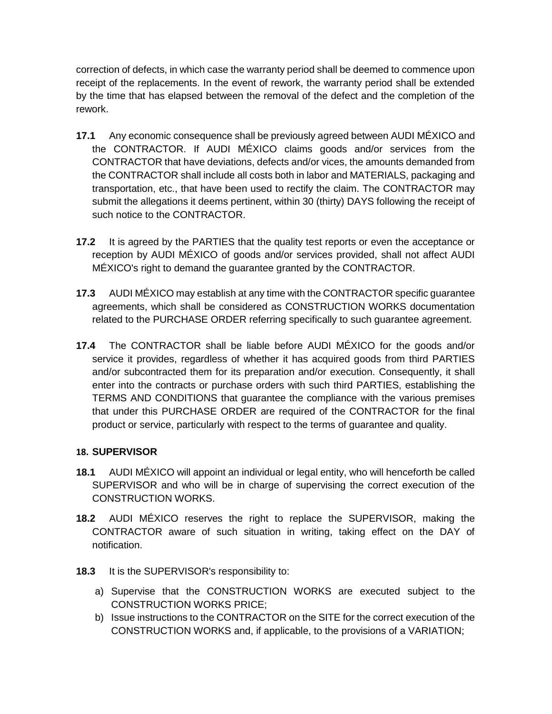correction of defects, in which case the warranty period shall be deemed to commence upon receipt of the replacements. In the event of rework, the warranty period shall be extended by the time that has elapsed between the removal of the defect and the completion of the rework.

- **17.1** Any economic consequence shall be previously agreed between AUDI MÉXICO and the CONTRACTOR. If AUDI MÉXICO claims goods and/or services from the CONTRACTOR that have deviations, defects and/or vices, the amounts demanded from the CONTRACTOR shall include all costs both in labor and MATERIALS, packaging and transportation, etc., that have been used to rectify the claim. The CONTRACTOR may submit the allegations it deems pertinent, within 30 (thirty) DAYS following the receipt of such notice to the CONTRACTOR.
- **17.2** It is agreed by the PARTIES that the quality test reports or even the acceptance or reception by AUDI MÉXICO of goods and/or services provided, shall not affect AUDI MÉXICO's right to demand the guarantee granted by the CONTRACTOR.
- **17.3** AUDI MÉXICO may establish at any time with the CONTRACTOR specific guarantee agreements, which shall be considered as CONSTRUCTION WORKS documentation related to the PURCHASE ORDER referring specifically to such guarantee agreement.
- **17.4** The CONTRACTOR shall be liable before AUDI MÉXICO for the goods and/or service it provides, regardless of whether it has acquired goods from third PARTIES and/or subcontracted them for its preparation and/or execution. Consequently, it shall enter into the contracts or purchase orders with such third PARTIES, establishing the TERMS AND CONDITIONS that guarantee the compliance with the various premises that under this PURCHASE ORDER are required of the CONTRACTOR for the final product or service, particularly with respect to the terms of guarantee and quality.

### **18. SUPERVISOR**

- **18.1** AUDI MÉXICO will appoint an individual or legal entity, who will henceforth be called SUPERVISOR and who will be in charge of supervising the correct execution of the CONSTRUCTION WORKS.
- **18.2** AUDI MÉXICO reserves the right to replace the SUPERVISOR, making the CONTRACTOR aware of such situation in writing, taking effect on the DAY of notification.
- **18.3** It is the SUPERVISOR's responsibility to:
	- a) Supervise that the CONSTRUCTION WORKS are executed subject to the CONSTRUCTION WORKS PRICE;
	- b) Issue instructions to the CONTRACTOR on the SITE for the correct execution of the CONSTRUCTION WORKS and, if applicable, to the provisions of a VARIATION;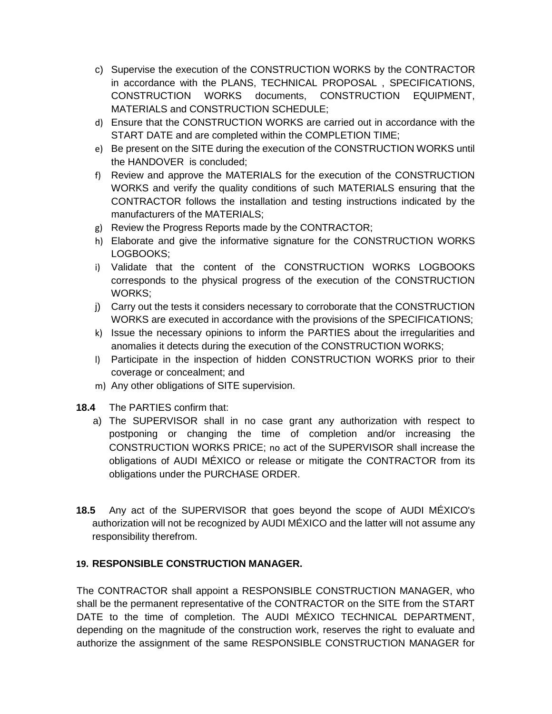- c) Supervise the execution of the CONSTRUCTION WORKS by the CONTRACTOR in accordance with the PLANS, TECHNICAL PROPOSAL , SPECIFICATIONS, CONSTRUCTION WORKS documents, CONSTRUCTION EQUIPMENT, MATERIALS and CONSTRUCTION SCHEDULE;
- d) Ensure that the CONSTRUCTION WORKS are carried out in accordance with the START DATE and are completed within the COMPLETION TIME;
- e) Be present on the SITE during the execution of the CONSTRUCTION WORKS until the HANDOVER is concluded;
- f) Review and approve the MATERIALS for the execution of the CONSTRUCTION WORKS and verify the quality conditions of such MATERIALS ensuring that the CONTRACTOR follows the installation and testing instructions indicated by the manufacturers of the MATERIALS;
- g) Review the Progress Reports made by the CONTRACTOR;
- h) Elaborate and give the informative signature for the CONSTRUCTION WORKS LOGBOOKS;
- i) Validate that the content of the CONSTRUCTION WORKS LOGBOOKS corresponds to the physical progress of the execution of the CONSTRUCTION WORKS;
- j) Carry out the tests it considers necessary to corroborate that the CONSTRUCTION WORKS are executed in accordance with the provisions of the SPECIFICATIONS;
- k) Issue the necessary opinions to inform the PARTIES about the irregularities and anomalies it detects during the execution of the CONSTRUCTION WORKS;
- l) Participate in the inspection of hidden CONSTRUCTION WORKS prior to their coverage or concealment; and
- m) Any other obligations of SITE supervision.
- **18.4** The PARTIES confirm that:
	- a) The SUPERVISOR shall in no case grant any authorization with respect to postponing or changing the time of completion and/or increasing the CONSTRUCTION WORKS PRICE; no act of the SUPERVISOR shall increase the obligations of AUDI MÉXICO or release or mitigate the CONTRACTOR from its obligations under the PURCHASE ORDER.
- **18.5** Any act of the SUPERVISOR that goes beyond the scope of AUDI MÉXICO's authorization will not be recognized by AUDI MÉXICO and the latter will not assume any responsibility therefrom.

#### **19. RESPONSIBLE CONSTRUCTION MANAGER.**

The CONTRACTOR shall appoint a RESPONSIBLE CONSTRUCTION MANAGER, who shall be the permanent representative of the CONTRACTOR on the SITE from the START DATE to the time of completion. The AUDI MÉXICO TECHNICAL DEPARTMENT, depending on the magnitude of the construction work, reserves the right to evaluate and authorize the assignment of the same RESPONSIBLE CONSTRUCTION MANAGER for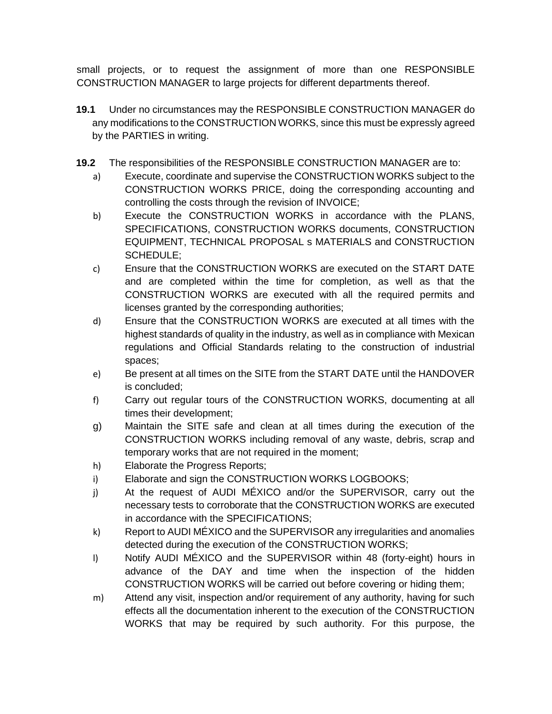small projects, or to request the assignment of more than one RESPONSIBLE CONSTRUCTION MANAGER to large projects for different departments thereof.

- **19.1** Under no circumstances may the RESPONSIBLE CONSTRUCTION MANAGER do any modifications to the CONSTRUCTION WORKS, since this must be expressly agreed by the PARTIES in writing.
- **19.2** The responsibilities of the RESPONSIBLE CONSTRUCTION MANAGER are to:
	- a) Execute, coordinate and supervise the CONSTRUCTION WORKS subject to the CONSTRUCTION WORKS PRICE, doing the corresponding accounting and controlling the costs through the revision of INVOICE;
	- b) Execute the CONSTRUCTION WORKS in accordance with the PLANS, SPECIFICATIONS, CONSTRUCTION WORKS documents, CONSTRUCTION EQUIPMENT, TECHNICAL PROPOSAL s MATERIALS and CONSTRUCTION SCHEDULE;
	- c) Ensure that the CONSTRUCTION WORKS are executed on the START DATE and are completed within the time for completion, as well as that the CONSTRUCTION WORKS are executed with all the required permits and licenses granted by the corresponding authorities;
	- d) Ensure that the CONSTRUCTION WORKS are executed at all times with the highest standards of quality in the industry, as well as in compliance with Mexican regulations and Official Standards relating to the construction of industrial spaces;
	- e) Be present at all times on the SITE from the START DATE until the HANDOVER is concluded;
	- f) Carry out regular tours of the CONSTRUCTION WORKS, documenting at all times their development;
	- g) Maintain the SITE safe and clean at all times during the execution of the CONSTRUCTION WORKS including removal of any waste, debris, scrap and temporary works that are not required in the moment;
	- h) Elaborate the Progress Reports;
	- i) Elaborate and sign the CONSTRUCTION WORKS LOGBOOKS;
	- j) At the request of AUDI MÉXICO and/or the SUPERVISOR, carry out the necessary tests to corroborate that the CONSTRUCTION WORKS are executed in accordance with the SPECIFICATIONS;
	- k) Report to AUDI MÉXICO and the SUPERVISOR any irregularities and anomalies detected during the execution of the CONSTRUCTION WORKS;
	- l) Notify AUDI MÉXICO and the SUPERVISOR within 48 (forty-eight) hours in advance of the DAY and time when the inspection of the hidden CONSTRUCTION WORKS will be carried out before covering or hiding them;
	- m) Attend any visit, inspection and/or requirement of any authority, having for such effects all the documentation inherent to the execution of the CONSTRUCTION WORKS that may be required by such authority. For this purpose, the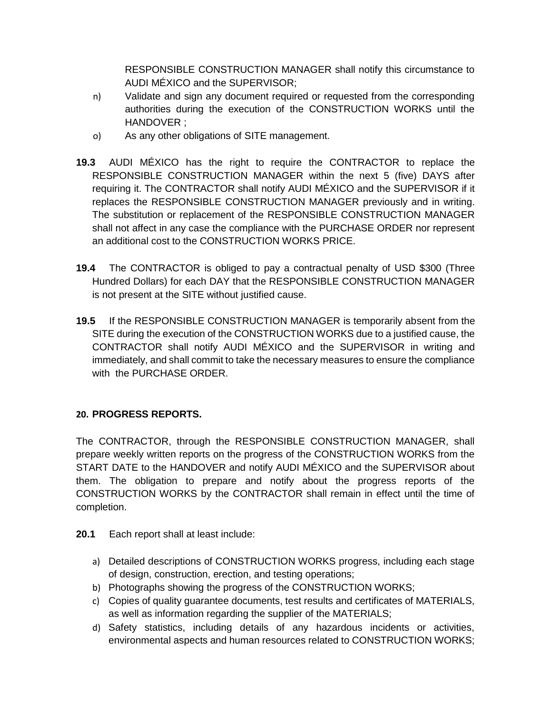RESPONSIBLE CONSTRUCTION MANAGER shall notify this circumstance to AUDI MÉXICO and the SUPERVISOR;

- n) Validate and sign any document required or requested from the corresponding authorities during the execution of the CONSTRUCTION WORKS until the HANDOVER ;
- o) As any other obligations of SITE management.
- **19.3** AUDI MÉXICO has the right to require the CONTRACTOR to replace the RESPONSIBLE CONSTRUCTION MANAGER within the next 5 (five) DAYS after requiring it. The CONTRACTOR shall notify AUDI MÉXICO and the SUPERVISOR if it replaces the RESPONSIBLE CONSTRUCTION MANAGER previously and in writing. The substitution or replacement of the RESPONSIBLE CONSTRUCTION MANAGER shall not affect in any case the compliance with the PURCHASE ORDER nor represent an additional cost to the CONSTRUCTION WORKS PRICE.
- **19.4** The CONTRACTOR is obliged to pay a contractual penalty of USD \$300 (Three Hundred Dollars) for each DAY that the RESPONSIBLE CONSTRUCTION MANAGER is not present at the SITE without justified cause.
- **19.5** If the RESPONSIBLE CONSTRUCTION MANAGER is temporarily absent from the SITE during the execution of the CONSTRUCTION WORKS due to a justified cause, the CONTRACTOR shall notify AUDI MÉXICO and the SUPERVISOR in writing and immediately, and shall commit to take the necessary measures to ensure the compliance with the PURCHASE ORDER.

### **20. PROGRESS REPORTS.**

The CONTRACTOR, through the RESPONSIBLE CONSTRUCTION MANAGER, shall prepare weekly written reports on the progress of the CONSTRUCTION WORKS from the START DATE to the HANDOVER and notify AUDI MÉXICO and the SUPERVISOR about them. The obligation to prepare and notify about the progress reports of the CONSTRUCTION WORKS by the CONTRACTOR shall remain in effect until the time of completion.

- **20.1** Each report shall at least include:
	- a) Detailed descriptions of CONSTRUCTION WORKS progress, including each stage of design, construction, erection, and testing operations;
	- b) Photographs showing the progress of the CONSTRUCTION WORKS;
	- c) Copies of quality guarantee documents, test results and certificates of MATERIALS, as well as information regarding the supplier of the MATERIALS;
	- d) Safety statistics, including details of any hazardous incidents or activities, environmental aspects and human resources related to CONSTRUCTION WORKS;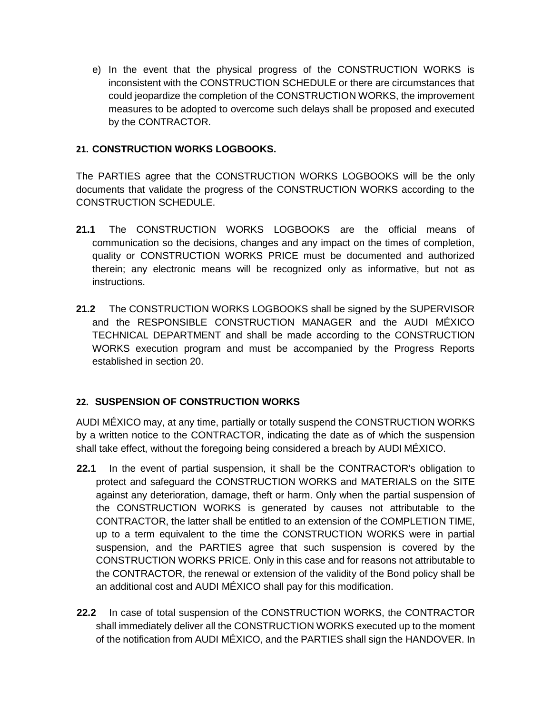e) In the event that the physical progress of the CONSTRUCTION WORKS is inconsistent with the CONSTRUCTION SCHEDULE or there are circumstances that could jeopardize the completion of the CONSTRUCTION WORKS, the improvement measures to be adopted to overcome such delays shall be proposed and executed by the CONTRACTOR.

#### **21. CONSTRUCTION WORKS LOGBOOKS.**

The PARTIES agree that the CONSTRUCTION WORKS LOGBOOKS will be the only documents that validate the progress of the CONSTRUCTION WORKS according to the CONSTRUCTION SCHEDULE.

- **21.1** The CONSTRUCTION WORKS LOGBOOKS are the official means of communication so the decisions, changes and any impact on the times of completion, quality or CONSTRUCTION WORKS PRICE must be documented and authorized therein; any electronic means will be recognized only as informative, but not as instructions.
- **21.2** The CONSTRUCTION WORKS LOGBOOKS shall be signed by the SUPERVISOR and the RESPONSIBLE CONSTRUCTION MANAGER and the AUDI MÉXICO TECHNICAL DEPARTMENT and shall be made according to the CONSTRUCTION WORKS execution program and must be accompanied by the Progress Reports established in section 20.

### **22. SUSPENSION OF CONSTRUCTION WORKS**

AUDI MÉXICO may, at any time, partially or totally suspend the CONSTRUCTION WORKS by a written notice to the CONTRACTOR, indicating the date as of which the suspension shall take effect, without the foregoing being considered a breach by AUDI MÉXICO.

- **22.1** In the event of partial suspension, it shall be the CONTRACTOR's obligation to protect and safeguard the CONSTRUCTION WORKS and MATERIALS on the SITE against any deterioration, damage, theft or harm. Only when the partial suspension of the CONSTRUCTION WORKS is generated by causes not attributable to the CONTRACTOR, the latter shall be entitled to an extension of the COMPLETION TIME, up to a term equivalent to the time the CONSTRUCTION WORKS were in partial suspension, and the PARTIES agree that such suspension is covered by the CONSTRUCTION WORKS PRICE. Only in this case and for reasons not attributable to the CONTRACTOR, the renewal or extension of the validity of the Bond policy shall be an additional cost and AUDI MÉXICO shall pay for this modification.
- **22.2** In case of total suspension of the CONSTRUCTION WORKS, the CONTRACTOR shall immediately deliver all the CONSTRUCTION WORKS executed up to the moment of the notification from AUDI MÉXICO, and the PARTIES shall sign the HANDOVER. In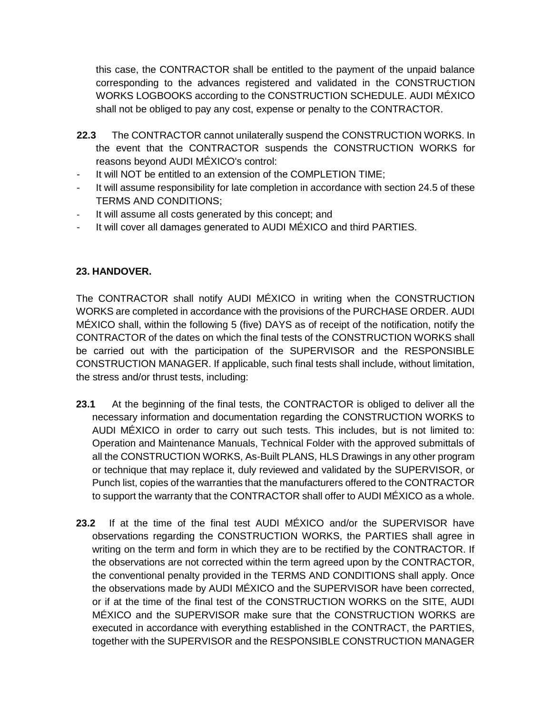this case, the CONTRACTOR shall be entitled to the payment of the unpaid balance corresponding to the advances registered and validated in the CONSTRUCTION WORKS LOGBOOKS according to the CONSTRUCTION SCHEDULE. AUDI MÉXICO shall not be obliged to pay any cost, expense or penalty to the CONTRACTOR.

- **22.3** The CONTRACTOR cannot unilaterally suspend the CONSTRUCTION WORKS. In the event that the CONTRACTOR suspends the CONSTRUCTION WORKS for reasons beyond AUDI MÉXICO's control:
- It will NOT be entitled to an extension of the COMPLETION TIME:
- It will assume responsibility for late completion in accordance with section 24.5 of these TERMS AND CONDITIONS;
- It will assume all costs generated by this concept; and
- It will cover all damages generated to AUDI MÉXICO and third PARTIES.

#### **23. HANDOVER.**

The CONTRACTOR shall notify AUDI MÉXICO in writing when the CONSTRUCTION WORKS are completed in accordance with the provisions of the PURCHASE ORDER. AUDI MÉXICO shall, within the following 5 (five) DAYS as of receipt of the notification, notify the CONTRACTOR of the dates on which the final tests of the CONSTRUCTION WORKS shall be carried out with the participation of the SUPERVISOR and the RESPONSIBLE CONSTRUCTION MANAGER. If applicable, such final tests shall include, without limitation, the stress and/or thrust tests, including:

- **23.1** At the beginning of the final tests, the CONTRACTOR is obliged to deliver all the necessary information and documentation regarding the CONSTRUCTION WORKS to AUDI MÉXICO in order to carry out such tests. This includes, but is not limited to: Operation and Maintenance Manuals, Technical Folder with the approved submittals of all the CONSTRUCTION WORKS, As-Built PLANS, HLS Drawings in any other program or technique that may replace it, duly reviewed and validated by the SUPERVISOR, or Punch list, copies of the warranties that the manufacturers offered to the CONTRACTOR to support the warranty that the CONTRACTOR shall offer to AUDI MÉXICO as a whole.
- **23.2** If at the time of the final test AUDI MÉXICO and/or the SUPERVISOR have observations regarding the CONSTRUCTION WORKS, the PARTIES shall agree in writing on the term and form in which they are to be rectified by the CONTRACTOR. If the observations are not corrected within the term agreed upon by the CONTRACTOR, the conventional penalty provided in the TERMS AND CONDITIONS shall apply. Once the observations made by AUDI MÉXICO and the SUPERVISOR have been corrected, or if at the time of the final test of the CONSTRUCTION WORKS on the SITE, AUDI MÉXICO and the SUPERVISOR make sure that the CONSTRUCTION WORKS are executed in accordance with everything established in the CONTRACT, the PARTIES, together with the SUPERVISOR and the RESPONSIBLE CONSTRUCTION MANAGER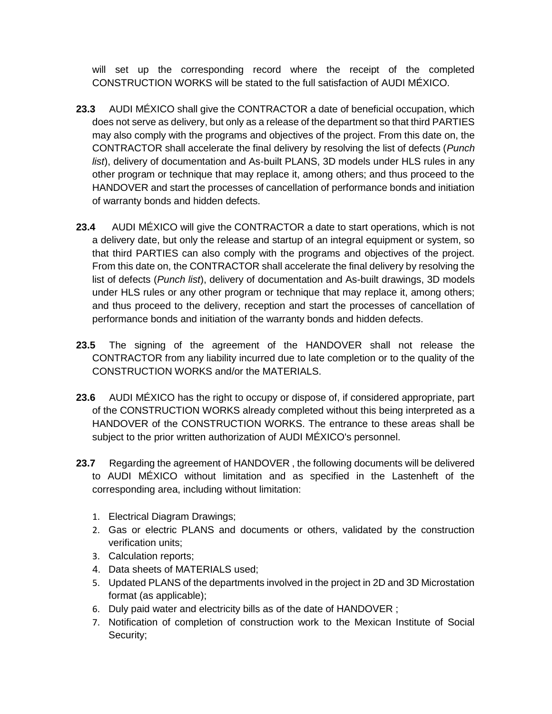will set up the corresponding record where the receipt of the completed CONSTRUCTION WORKS will be stated to the full satisfaction of AUDI MÉXICO.

- **23.3** AUDI MÉXICO shall give the CONTRACTOR a date of beneficial occupation, which does not serve as delivery, but only as a release of the department so that third PARTIES may also comply with the programs and objectives of the project. From this date on, the CONTRACTOR shall accelerate the final delivery by resolving the list of defects (*Punch list*), delivery of documentation and As-built PLANS, 3D models under HLS rules in any other program or technique that may replace it, among others; and thus proceed to the HANDOVER and start the processes of cancellation of performance bonds and initiation of warranty bonds and hidden defects.
- **23.4** AUDI MÉXICO will give the CONTRACTOR a date to start operations, which is not a delivery date, but only the release and startup of an integral equipment or system, so that third PARTIES can also comply with the programs and objectives of the project. From this date on, the CONTRACTOR shall accelerate the final delivery by resolving the list of defects (*Punch list*), delivery of documentation and As-built drawings, 3D models under HLS rules or any other program or technique that may replace it, among others; and thus proceed to the delivery, reception and start the processes of cancellation of performance bonds and initiation of the warranty bonds and hidden defects.
- **23.5** The signing of the agreement of the HANDOVER shall not release the CONTRACTOR from any liability incurred due to late completion or to the quality of the CONSTRUCTION WORKS and/or the MATERIALS.
- **23.6** AUDI MÉXICO has the right to occupy or dispose of, if considered appropriate, part of the CONSTRUCTION WORKS already completed without this being interpreted as a HANDOVER of the CONSTRUCTION WORKS. The entrance to these areas shall be subject to the prior written authorization of AUDI MÉXICO's personnel.
- **23.7** Regarding the agreement of HANDOVER , the following documents will be delivered to AUDI MÉXICO without limitation and as specified in the Lastenheft of the corresponding area, including without limitation:
	- 1. Electrical Diagram Drawings;
	- 2. Gas or electric PLANS and documents or others, validated by the construction verification units;
	- 3. Calculation reports;
	- 4. Data sheets of MATERIALS used;
	- 5. Updated PLANS of the departments involved in the project in 2D and 3D Microstation format (as applicable);
	- 6. Duly paid water and electricity bills as of the date of HANDOVER ;
	- 7. Notification of completion of construction work to the Mexican Institute of Social Security;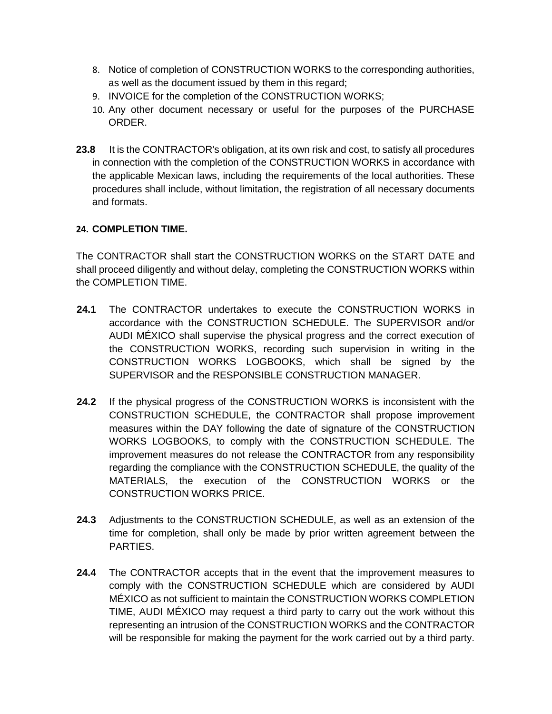- 8. Notice of completion of CONSTRUCTION WORKS to the corresponding authorities, as well as the document issued by them in this regard;
- 9. INVOICE for the completion of the CONSTRUCTION WORKS;
- 10. Any other document necessary or useful for the purposes of the PURCHASE ORDER.
- **23.8** It is the CONTRACTOR's obligation, at its own risk and cost, to satisfy all procedures in connection with the completion of the CONSTRUCTION WORKS in accordance with the applicable Mexican laws, including the requirements of the local authorities. These procedures shall include, without limitation, the registration of all necessary documents and formats.

#### **24. COMPLETION TIME.**

The CONTRACTOR shall start the CONSTRUCTION WORKS on the START DATE and shall proceed diligently and without delay, completing the CONSTRUCTION WORKS within the COMPLETION TIME.

- **24.1** The CONTRACTOR undertakes to execute the CONSTRUCTION WORKS in accordance with the CONSTRUCTION SCHEDULE. The SUPERVISOR and/or AUDI MÉXICO shall supervise the physical progress and the correct execution of the CONSTRUCTION WORKS, recording such supervision in writing in the CONSTRUCTION WORKS LOGBOOKS, which shall be signed by the SUPERVISOR and the RESPONSIBLE CONSTRUCTION MANAGER.
- **24.2** If the physical progress of the CONSTRUCTION WORKS is inconsistent with the CONSTRUCTION SCHEDULE, the CONTRACTOR shall propose improvement measures within the DAY following the date of signature of the CONSTRUCTION WORKS LOGBOOKS, to comply with the CONSTRUCTION SCHEDULE. The improvement measures do not release the CONTRACTOR from any responsibility regarding the compliance with the CONSTRUCTION SCHEDULE, the quality of the MATERIALS, the execution of the CONSTRUCTION WORKS or the CONSTRUCTION WORKS PRICE.
- **24.3** Adjustments to the CONSTRUCTION SCHEDULE, as well as an extension of the time for completion, shall only be made by prior written agreement between the PARTIES.
- **24.4** The CONTRACTOR accepts that in the event that the improvement measures to comply with the CONSTRUCTION SCHEDULE which are considered by AUDI MÉXICO as not sufficient to maintain the CONSTRUCTION WORKS COMPLETION TIME, AUDI MÉXICO may request a third party to carry out the work without this representing an intrusion of the CONSTRUCTION WORKS and the CONTRACTOR will be responsible for making the payment for the work carried out by a third party.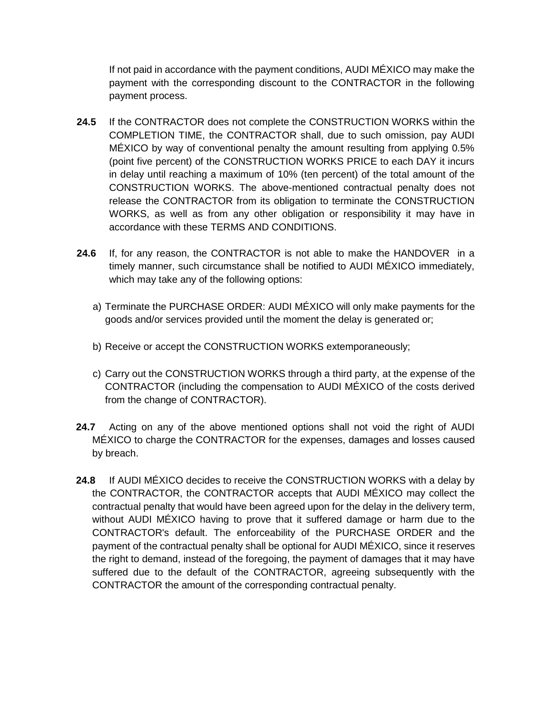If not paid in accordance with the payment conditions, AUDI MÉXICO may make the payment with the corresponding discount to the CONTRACTOR in the following payment process.

- **24.5** If the CONTRACTOR does not complete the CONSTRUCTION WORKS within the COMPLETION TIME, the CONTRACTOR shall, due to such omission, pay AUDI MÉXICO by way of conventional penalty the amount resulting from applying 0.5% (point five percent) of the CONSTRUCTION WORKS PRICE to each DAY it incurs in delay until reaching a maximum of 10% (ten percent) of the total amount of the CONSTRUCTION WORKS. The above-mentioned contractual penalty does not release the CONTRACTOR from its obligation to terminate the CONSTRUCTION WORKS, as well as from any other obligation or responsibility it may have in accordance with these TERMS AND CONDITIONS.
- **24.6** If, for any reason, the CONTRACTOR is not able to make the HANDOVER in a timely manner, such circumstance shall be notified to AUDI MÉXICO immediately, which may take any of the following options:
	- a) Terminate the PURCHASE ORDER: AUDI MÉXICO will only make payments for the goods and/or services provided until the moment the delay is generated or;
	- b) Receive or accept the CONSTRUCTION WORKS extemporaneously;
	- c) Carry out the CONSTRUCTION WORKS through a third party, at the expense of the CONTRACTOR (including the compensation to AUDI MÉXICO of the costs derived from the change of CONTRACTOR).
- **24.7** Acting on any of the above mentioned options shall not void the right of AUDI MÉXICO to charge the CONTRACTOR for the expenses, damages and losses caused by breach.
- **24.8** If AUDI MÉXICO decides to receive the CONSTRUCTION WORKS with a delay by the CONTRACTOR, the CONTRACTOR accepts that AUDI MÉXICO may collect the contractual penalty that would have been agreed upon for the delay in the delivery term, without AUDI MÉXICO having to prove that it suffered damage or harm due to the CONTRACTOR's default. The enforceability of the PURCHASE ORDER and the payment of the contractual penalty shall be optional for AUDI MÉXICO, since it reserves the right to demand, instead of the foregoing, the payment of damages that it may have suffered due to the default of the CONTRACTOR, agreeing subsequently with the CONTRACTOR the amount of the corresponding contractual penalty.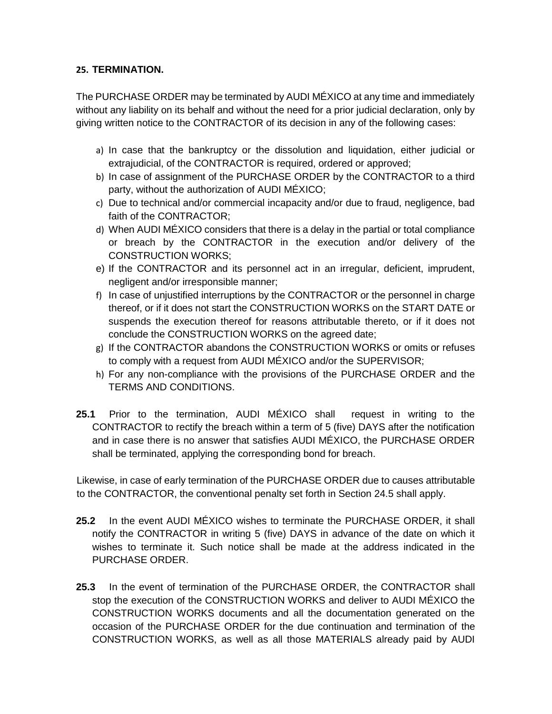#### **25. TERMINATION.**

The PURCHASE ORDER may be terminated by AUDI MÉXICO at any time and immediately without any liability on its behalf and without the need for a prior judicial declaration, only by giving written notice to the CONTRACTOR of its decision in any of the following cases:

- a) In case that the bankruptcy or the dissolution and liquidation, either judicial or extrajudicial, of the CONTRACTOR is required, ordered or approved;
- b) In case of assignment of the PURCHASE ORDER by the CONTRACTOR to a third party, without the authorization of AUDI MÉXICO;
- c) Due to technical and/or commercial incapacity and/or due to fraud, negligence, bad faith of the CONTRACTOR;
- d) When AUDI MÉXICO considers that there is a delay in the partial or total compliance or breach by the CONTRACTOR in the execution and/or delivery of the CONSTRUCTION WORKS;
- e) If the CONTRACTOR and its personnel act in an irregular, deficient, imprudent, negligent and/or irresponsible manner;
- f) In case of unjustified interruptions by the CONTRACTOR or the personnel in charge thereof, or if it does not start the CONSTRUCTION WORKS on the START DATE or suspends the execution thereof for reasons attributable thereto, or if it does not conclude the CONSTRUCTION WORKS on the agreed date;
- g) If the CONTRACTOR abandons the CONSTRUCTION WORKS or omits or refuses to comply with a request from AUDI MÉXICO and/or the SUPERVISOR;
- h) For any non-compliance with the provisions of the PURCHASE ORDER and the TERMS AND CONDITIONS.
- **25.1** Prior to the termination, AUDI MÉXICO shall request in writing to the CONTRACTOR to rectify the breach within a term of 5 (five) DAYS after the notification and in case there is no answer that satisfies AUDI MÉXICO, the PURCHASE ORDER shall be terminated, applying the corresponding bond for breach.

Likewise, in case of early termination of the PURCHASE ORDER due to causes attributable to the CONTRACTOR, the conventional penalty set forth in Section 24.5 shall apply.

- **25.2** In the event AUDI MÉXICO wishes to terminate the PURCHASE ORDER, it shall notify the CONTRACTOR in writing 5 (five) DAYS in advance of the date on which it wishes to terminate it. Such notice shall be made at the address indicated in the PURCHASE ORDER.
- **25.3** In the event of termination of the PURCHASE ORDER, the CONTRACTOR shall stop the execution of the CONSTRUCTION WORKS and deliver to AUDI MÉXICO the CONSTRUCTION WORKS documents and all the documentation generated on the occasion of the PURCHASE ORDER for the due continuation and termination of the CONSTRUCTION WORKS, as well as all those MATERIALS already paid by AUDI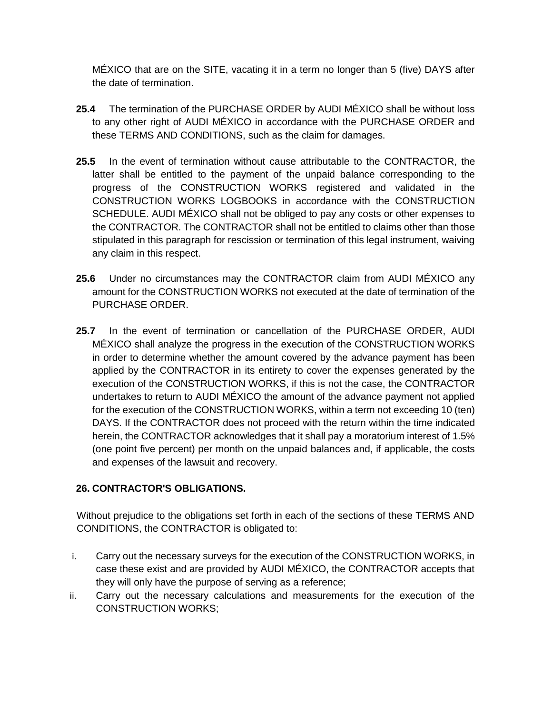MÉXICO that are on the SITE, vacating it in a term no longer than 5 (five) DAYS after the date of termination.

- **25.4** The termination of the PURCHASE ORDER by AUDI MÉXICO shall be without loss to any other right of AUDI MÉXICO in accordance with the PURCHASE ORDER and these TERMS AND CONDITIONS, such as the claim for damages.
- **25.5** In the event of termination without cause attributable to the CONTRACTOR, the latter shall be entitled to the payment of the unpaid balance corresponding to the progress of the CONSTRUCTION WORKS registered and validated in the CONSTRUCTION WORKS LOGBOOKS in accordance with the CONSTRUCTION SCHEDULE. AUDI MÉXICO shall not be obliged to pay any costs or other expenses to the CONTRACTOR. The CONTRACTOR shall not be entitled to claims other than those stipulated in this paragraph for rescission or termination of this legal instrument, waiving any claim in this respect.
- **25.6** Under no circumstances may the CONTRACTOR claim from AUDI MÉXICO any amount for the CONSTRUCTION WORKS not executed at the date of termination of the PURCHASE ORDER.
- **25.7** In the event of termination or cancellation of the PURCHASE ORDER, AUDI MÉXICO shall analyze the progress in the execution of the CONSTRUCTION WORKS in order to determine whether the amount covered by the advance payment has been applied by the CONTRACTOR in its entirety to cover the expenses generated by the execution of the CONSTRUCTION WORKS, if this is not the case, the CONTRACTOR undertakes to return to AUDI MÉXICO the amount of the advance payment not applied for the execution of the CONSTRUCTION WORKS, within a term not exceeding 10 (ten) DAYS. If the CONTRACTOR does not proceed with the return within the time indicated herein, the CONTRACTOR acknowledges that it shall pay a moratorium interest of 1.5% (one point five percent) per month on the unpaid balances and, if applicable, the costs and expenses of the lawsuit and recovery.

### **26. CONTRACTOR'S OBLIGATIONS.**

Without prejudice to the obligations set forth in each of the sections of these TERMS AND CONDITIONS, the CONTRACTOR is obligated to:

- i. Carry out the necessary surveys for the execution of the CONSTRUCTION WORKS, in case these exist and are provided by AUDI MÉXICO, the CONTRACTOR accepts that they will only have the purpose of serving as a reference;
- ii. Carry out the necessary calculations and measurements for the execution of the CONSTRUCTION WORKS;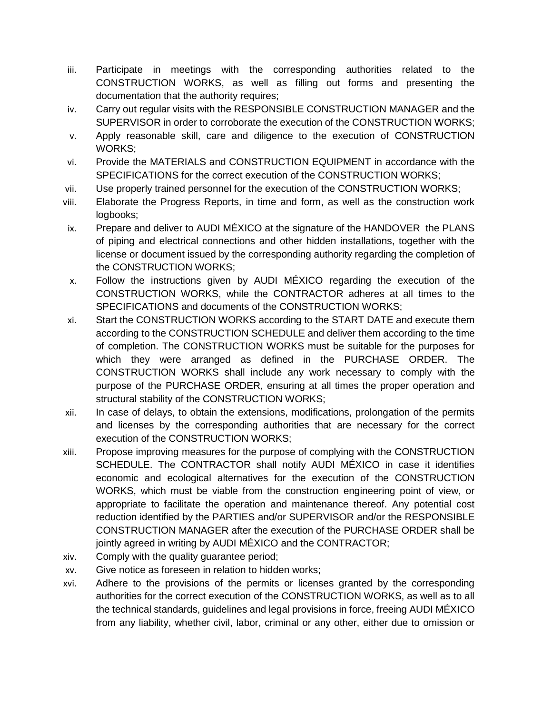- iii. Participate in meetings with the corresponding authorities related to the CONSTRUCTION WORKS, as well as filling out forms and presenting the documentation that the authority requires;
- iv. Carry out regular visits with the RESPONSIBLE CONSTRUCTION MANAGER and the SUPERVISOR in order to corroborate the execution of the CONSTRUCTION WORKS;
- v. Apply reasonable skill, care and diligence to the execution of CONSTRUCTION WORKS;
- vi. Provide the MATERIALS and CONSTRUCTION EQUIPMENT in accordance with the SPECIFICATIONS for the correct execution of the CONSTRUCTION WORKS;
- vii. Use properly trained personnel for the execution of the CONSTRUCTION WORKS;
- viii. Elaborate the Progress Reports, in time and form, as well as the construction work logbooks:
- ix. Prepare and deliver to AUDI MÉXICO at the signature of the HANDOVER the PLANS of piping and electrical connections and other hidden installations, together with the license or document issued by the corresponding authority regarding the completion of the CONSTRUCTION WORKS;
- x. Follow the instructions given by AUDI MÉXICO regarding the execution of the CONSTRUCTION WORKS, while the CONTRACTOR adheres at all times to the SPECIFICATIONS and documents of the CONSTRUCTION WORKS;
- xi. Start the CONSTRUCTION WORKS according to the START DATE and execute them according to the CONSTRUCTION SCHEDULE and deliver them according to the time of completion. The CONSTRUCTION WORKS must be suitable for the purposes for which they were arranged as defined in the PURCHASE ORDER. The CONSTRUCTION WORKS shall include any work necessary to comply with the purpose of the PURCHASE ORDER, ensuring at all times the proper operation and structural stability of the CONSTRUCTION WORKS;
- xii. In case of delays, to obtain the extensions, modifications, prolongation of the permits and licenses by the corresponding authorities that are necessary for the correct execution of the CONSTRUCTION WORKS;
- xiii. Propose improving measures for the purpose of complying with the CONSTRUCTION SCHEDULE. The CONTRACTOR shall notify AUDI MÉXICO in case it identifies economic and ecological alternatives for the execution of the CONSTRUCTION WORKS, which must be viable from the construction engineering point of view, or appropriate to facilitate the operation and maintenance thereof. Any potential cost reduction identified by the PARTIES and/or SUPERVISOR and/or the RESPONSIBLE CONSTRUCTION MANAGER after the execution of the PURCHASE ORDER shall be jointly agreed in writing by AUDI MÉXICO and the CONTRACTOR;
- xiv. Comply with the quality guarantee period;
- xv. Give notice as foreseen in relation to hidden works;
- xvi. Adhere to the provisions of the permits or licenses granted by the corresponding authorities for the correct execution of the CONSTRUCTION WORKS, as well as to all the technical standards, guidelines and legal provisions in force, freeing AUDI MÉXICO from any liability, whether civil, labor, criminal or any other, either due to omission or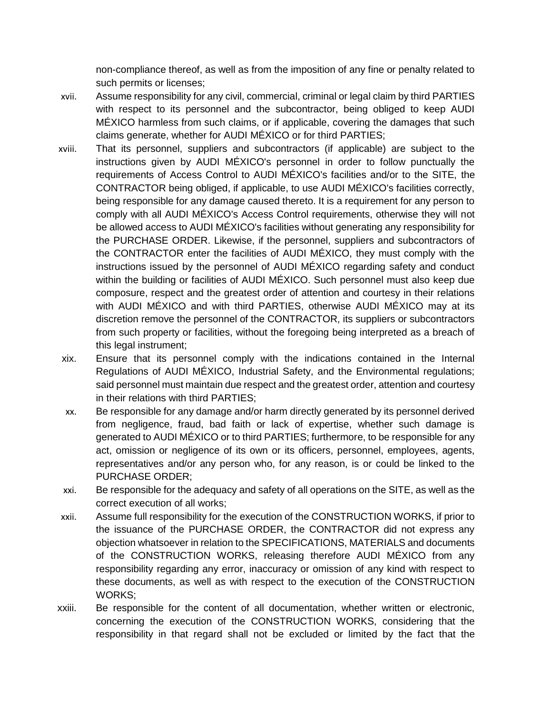non-compliance thereof, as well as from the imposition of any fine or penalty related to such permits or licenses;

- xvii. Assume responsibility for any civil, commercial, criminal or legal claim by third PARTIES with respect to its personnel and the subcontractor, being obliged to keep AUDI MÉXICO harmless from such claims, or if applicable, covering the damages that such claims generate, whether for AUDI MÉXICO or for third PARTIES;
- xviii. That its personnel, suppliers and subcontractors (if applicable) are subject to the instructions given by AUDI MÉXICO's personnel in order to follow punctually the requirements of Access Control to AUDI MÉXICO's facilities and/or to the SITE, the CONTRACTOR being obliged, if applicable, to use AUDI MÉXICO's facilities correctly, being responsible for any damage caused thereto. It is a requirement for any person to comply with all AUDI MÉXICO's Access Control requirements, otherwise they will not be allowed access to AUDI MÉXICO's facilities without generating any responsibility for the PURCHASE ORDER. Likewise, if the personnel, suppliers and subcontractors of the CONTRACTOR enter the facilities of AUDI MÉXICO, they must comply with the instructions issued by the personnel of AUDI MÉXICO regarding safety and conduct within the building or facilities of AUDI MÉXICO. Such personnel must also keep due composure, respect and the greatest order of attention and courtesy in their relations with AUDI MÉXICO and with third PARTIES, otherwise AUDI MÉXICO may at its discretion remove the personnel of the CONTRACTOR, its suppliers or subcontractors from such property or facilities, without the foregoing being interpreted as a breach of this legal instrument;
- xix. Ensure that its personnel comply with the indications contained in the Internal Regulations of AUDI MÉXICO, Industrial Safety, and the Environmental regulations; said personnel must maintain due respect and the greatest order, attention and courtesy in their relations with third PARTIES;
- xx. Be responsible for any damage and/or harm directly generated by its personnel derived from negligence, fraud, bad faith or lack of expertise, whether such damage is generated to AUDI MÉXICO or to third PARTIES; furthermore, to be responsible for any act, omission or negligence of its own or its officers, personnel, employees, agents, representatives and/or any person who, for any reason, is or could be linked to the PURCHASE ORDER;
- xxi. Be responsible for the adequacy and safety of all operations on the SITE, as well as the correct execution of all works;
- xxii. Assume full responsibility for the execution of the CONSTRUCTION WORKS, if prior to the issuance of the PURCHASE ORDER, the CONTRACTOR did not express any objection whatsoever in relation to the SPECIFICATIONS, MATERIALS and documents of the CONSTRUCTION WORKS, releasing therefore AUDI MÉXICO from any responsibility regarding any error, inaccuracy or omission of any kind with respect to these documents, as well as with respect to the execution of the CONSTRUCTION WORKS;
- xxiii. Be responsible for the content of all documentation, whether written or electronic, concerning the execution of the CONSTRUCTION WORKS, considering that the responsibility in that regard shall not be excluded or limited by the fact that the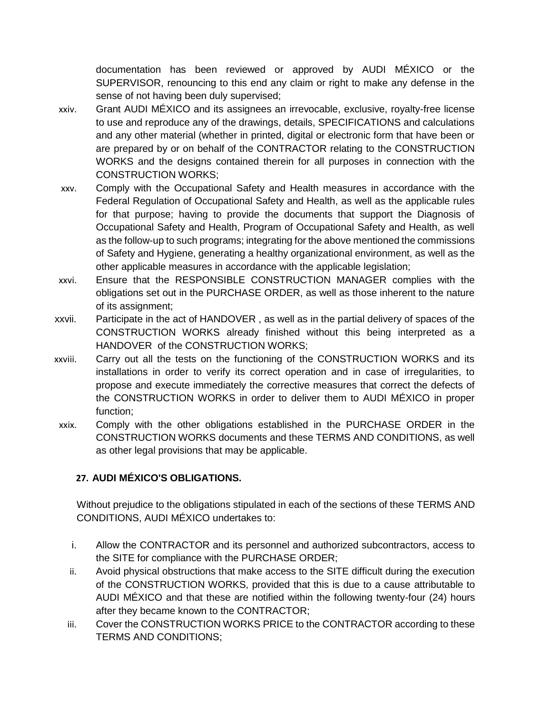documentation has been reviewed or approved by AUDI MÉXICO or the SUPERVISOR, renouncing to this end any claim or right to make any defense in the sense of not having been duly supervised;

- xxiv. Grant AUDI MÉXICO and its assignees an irrevocable, exclusive, royalty-free license to use and reproduce any of the drawings, details, SPECIFICATIONS and calculations and any other material (whether in printed, digital or electronic form that have been or are prepared by or on behalf of the CONTRACTOR relating to the CONSTRUCTION WORKS and the designs contained therein for all purposes in connection with the CONSTRUCTION WORKS;
- xxv. Comply with the Occupational Safety and Health measures in accordance with the Federal Regulation of Occupational Safety and Health, as well as the applicable rules for that purpose; having to provide the documents that support the Diagnosis of Occupational Safety and Health, Program of Occupational Safety and Health, as well as the follow-up to such programs; integrating for the above mentioned the commissions of Safety and Hygiene, generating a healthy organizational environment, as well as the other applicable measures in accordance with the applicable legislation;
- xxvi. Ensure that the RESPONSIBLE CONSTRUCTION MANAGER complies with the obligations set out in the PURCHASE ORDER, as well as those inherent to the nature of its assignment;
- xxvii. Participate in the act of HANDOVER , as well as in the partial delivery of spaces of the CONSTRUCTION WORKS already finished without this being interpreted as a HANDOVER of the CONSTRUCTION WORKS;
- xxviii. Carry out all the tests on the functioning of the CONSTRUCTION WORKS and its installations in order to verify its correct operation and in case of irregularities, to propose and execute immediately the corrective measures that correct the defects of the CONSTRUCTION WORKS in order to deliver them to AUDI MÉXICO in proper function;
- xxix. Comply with the other obligations established in the PURCHASE ORDER in the CONSTRUCTION WORKS documents and these TERMS AND CONDITIONS, as well as other legal provisions that may be applicable.

### **27. AUDI MÉXICO'S OBLIGATIONS.**

Without prejudice to the obligations stipulated in each of the sections of these TERMS AND CONDITIONS, AUDI MÉXICO undertakes to:

- i. Allow the CONTRACTOR and its personnel and authorized subcontractors, access to the SITE for compliance with the PURCHASE ORDER;
- ii. Avoid physical obstructions that make access to the SITE difficult during the execution of the CONSTRUCTION WORKS, provided that this is due to a cause attributable to AUDI MÉXICO and that these are notified within the following twenty-four (24) hours after they became known to the CONTRACTOR;
- iii. Cover the CONSTRUCTION WORKS PRICE to the CONTRACTOR according to these TERMS AND CONDITIONS;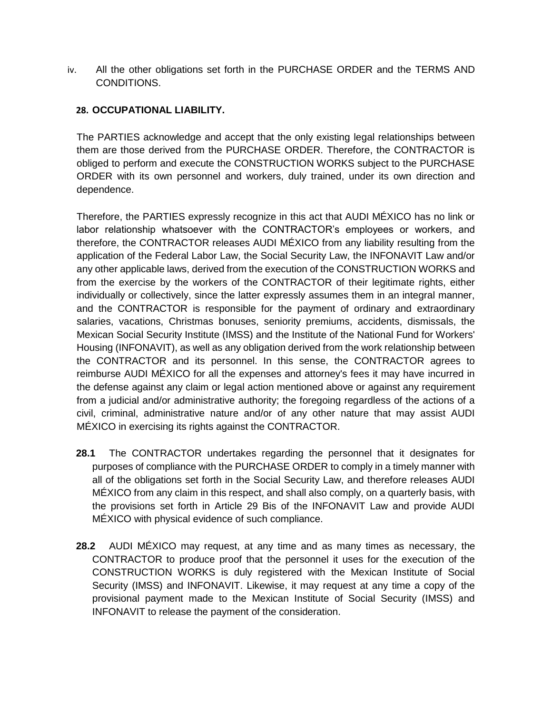iv. All the other obligations set forth in the PURCHASE ORDER and the TERMS AND CONDITIONS.

#### **28. OCCUPATIONAL LIABILITY.**

The PARTIES acknowledge and accept that the only existing legal relationships between them are those derived from the PURCHASE ORDER. Therefore, the CONTRACTOR is obliged to perform and execute the CONSTRUCTION WORKS subject to the PURCHASE ORDER with its own personnel and workers, duly trained, under its own direction and dependence.

Therefore, the PARTIES expressly recognize in this act that AUDI MÉXICO has no link or labor relationship whatsoever with the CONTRACTOR's employees or workers, and therefore, the CONTRACTOR releases AUDI MÉXICO from any liability resulting from the application of the Federal Labor Law, the Social Security Law, the INFONAVIT Law and/or any other applicable laws, derived from the execution of the CONSTRUCTION WORKS and from the exercise by the workers of the CONTRACTOR of their legitimate rights, either individually or collectively, since the latter expressly assumes them in an integral manner, and the CONTRACTOR is responsible for the payment of ordinary and extraordinary salaries, vacations, Christmas bonuses, seniority premiums, accidents, dismissals, the Mexican Social Security Institute (IMSS) and the Institute of the National Fund for Workers' Housing (INFONAVIT), as well as any obligation derived from the work relationship between the CONTRACTOR and its personnel. In this sense, the CONTRACTOR agrees to reimburse AUDI MÉXICO for all the expenses and attorney's fees it may have incurred in the defense against any claim or legal action mentioned above or against any requirement from a judicial and/or administrative authority; the foregoing regardless of the actions of a civil, criminal, administrative nature and/or of any other nature that may assist AUDI MÉXICO in exercising its rights against the CONTRACTOR.

- **28.1** The CONTRACTOR undertakes regarding the personnel that it designates for purposes of compliance with the PURCHASE ORDER to comply in a timely manner with all of the obligations set forth in the Social Security Law, and therefore releases AUDI MÉXICO from any claim in this respect, and shall also comply, on a quarterly basis, with the provisions set forth in Article 29 Bis of the INFONAVIT Law and provide AUDI MÉXICO with physical evidence of such compliance.
- **28.2** AUDI MÉXICO may request, at any time and as many times as necessary, the CONTRACTOR to produce proof that the personnel it uses for the execution of the CONSTRUCTION WORKS is duly registered with the Mexican Institute of Social Security (IMSS) and INFONAVIT. Likewise, it may request at any time a copy of the provisional payment made to the Mexican Institute of Social Security (IMSS) and INFONAVIT to release the payment of the consideration.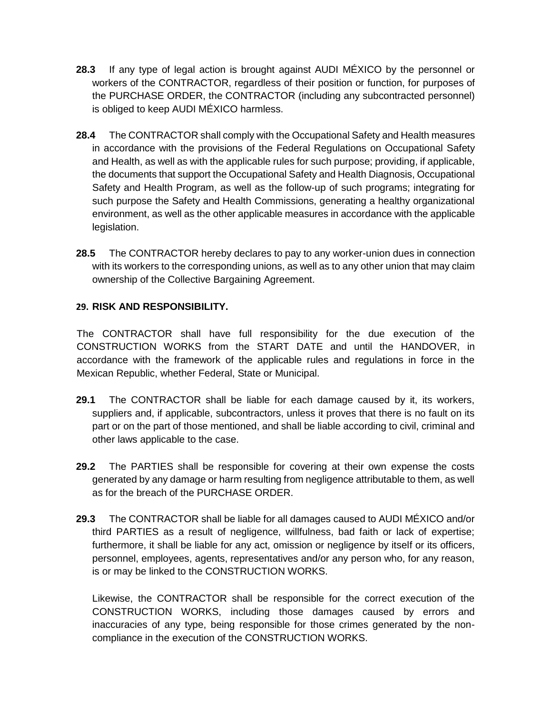- **28.3** If any type of legal action is brought against AUDI MÉXICO by the personnel or workers of the CONTRACTOR, regardless of their position or function, for purposes of the PURCHASE ORDER, the CONTRACTOR (including any subcontracted personnel) is obliged to keep AUDI MÉXICO harmless.
- **28.4** The CONTRACTOR shall comply with the Occupational Safety and Health measures in accordance with the provisions of the Federal Regulations on Occupational Safety and Health, as well as with the applicable rules for such purpose; providing, if applicable, the documents that support the Occupational Safety and Health Diagnosis, Occupational Safety and Health Program, as well as the follow-up of such programs; integrating for such purpose the Safety and Health Commissions, generating a healthy organizational environment, as well as the other applicable measures in accordance with the applicable legislation.
- **28.5** The CONTRACTOR hereby declares to pay to any worker-union dues in connection with its workers to the corresponding unions, as well as to any other union that may claim ownership of the Collective Bargaining Agreement.

### **29. RISK AND RESPONSIBILITY.**

The CONTRACTOR shall have full responsibility for the due execution of the CONSTRUCTION WORKS from the START DATE and until the HANDOVER, in accordance with the framework of the applicable rules and regulations in force in the Mexican Republic, whether Federal, State or Municipal.

- **29.1** The CONTRACTOR shall be liable for each damage caused by it, its workers, suppliers and, if applicable, subcontractors, unless it proves that there is no fault on its part or on the part of those mentioned, and shall be liable according to civil, criminal and other laws applicable to the case.
- **29.2** The PARTIES shall be responsible for covering at their own expense the costs generated by any damage or harm resulting from negligence attributable to them, as well as for the breach of the PURCHASE ORDER.
- **29.3** The CONTRACTOR shall be liable for all damages caused to AUDI MÉXICO and/or third PARTIES as a result of negligence, willfulness, bad faith or lack of expertise; furthermore, it shall be liable for any act, omission or negligence by itself or its officers, personnel, employees, agents, representatives and/or any person who, for any reason, is or may be linked to the CONSTRUCTION WORKS.

Likewise, the CONTRACTOR shall be responsible for the correct execution of the CONSTRUCTION WORKS, including those damages caused by errors and inaccuracies of any type, being responsible for those crimes generated by the noncompliance in the execution of the CONSTRUCTION WORKS.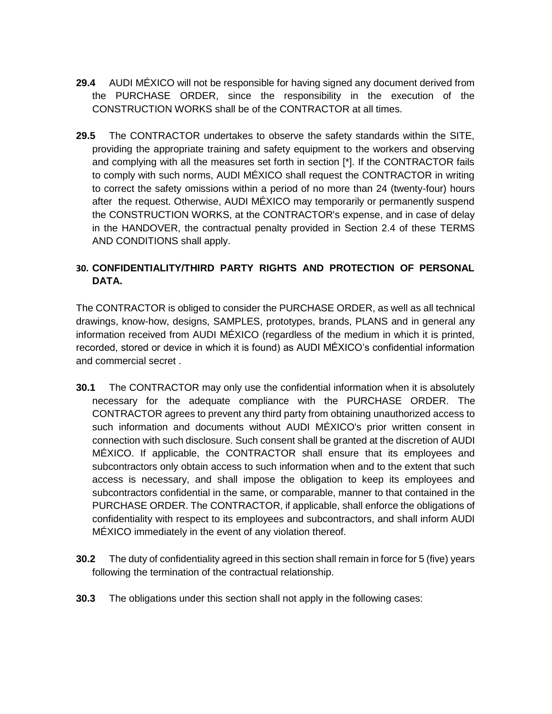- **29.4** AUDI MÉXICO will not be responsible for having signed any document derived from the PURCHASE ORDER, since the responsibility in the execution of the CONSTRUCTION WORKS shall be of the CONTRACTOR at all times.
- **29.5** The CONTRACTOR undertakes to observe the safety standards within the SITE, providing the appropriate training and safety equipment to the workers and observing and complying with all the measures set forth in section [\*]. If the CONTRACTOR fails to comply with such norms, AUDI MÉXICO shall request the CONTRACTOR in writing to correct the safety omissions within a period of no more than 24 (twenty-four) hours after the request. Otherwise, AUDI MÉXICO may temporarily or permanently suspend the CONSTRUCTION WORKS, at the CONTRACTOR's expense, and in case of delay in the HANDOVER, the contractual penalty provided in Section 2.4 of these TERMS AND CONDITIONS shall apply.

### **30. CONFIDENTIALITY/THIRD PARTY RIGHTS AND PROTECTION OF PERSONAL DATA.**

The CONTRACTOR is obliged to consider the PURCHASE ORDER, as well as all technical drawings, know-how, designs, SAMPLES, prototypes, brands, PLANS and in general any information received from AUDI MÉXICO (regardless of the medium in which it is printed, recorded, stored or device in which it is found) as AUDI MÉXICO's confidential information and commercial secret .

- **30.1** The CONTRACTOR may only use the confidential information when it is absolutely necessary for the adequate compliance with the PURCHASE ORDER. The CONTRACTOR agrees to prevent any third party from obtaining unauthorized access to such information and documents without AUDI MÉXICO's prior written consent in connection with such disclosure. Such consent shall be granted at the discretion of AUDI MÉXICO. If applicable, the CONTRACTOR shall ensure that its employees and subcontractors only obtain access to such information when and to the extent that such access is necessary, and shall impose the obligation to keep its employees and subcontractors confidential in the same, or comparable, manner to that contained in the PURCHASE ORDER. The CONTRACTOR, if applicable, shall enforce the obligations of confidentiality with respect to its employees and subcontractors, and shall inform AUDI MÉXICO immediately in the event of any violation thereof.
- **30.2** The duty of confidentiality agreed in this section shall remain in force for 5 (five) years following the termination of the contractual relationship.
- **30.3** The obligations under this section shall not apply in the following cases: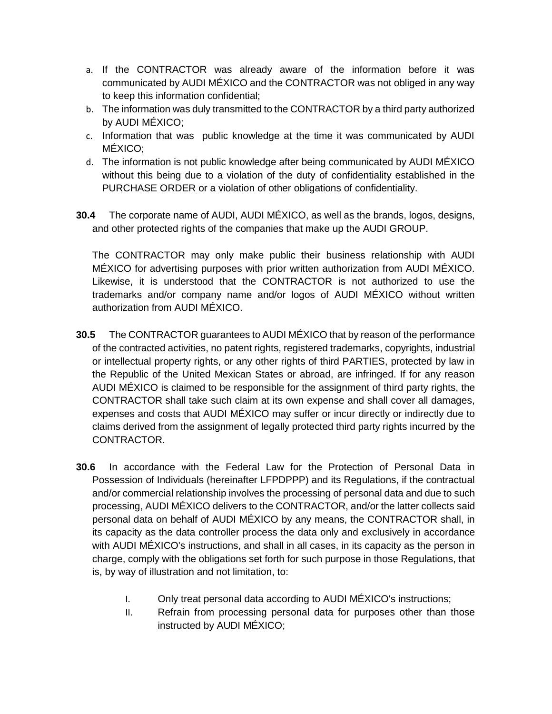- a. If the CONTRACTOR was already aware of the information before it was communicated by AUDI MÉXICO and the CONTRACTOR was not obliged in any way to keep this information confidential;
- b. The information was duly transmitted to the CONTRACTOR by a third party authorized by AUDI MÉXICO;
- c. Information that was public knowledge at the time it was communicated by AUDI MÉXICO;
- d. The information is not public knowledge after being communicated by AUDI MÉXICO without this being due to a violation of the duty of confidentiality established in the PURCHASE ORDER or a violation of other obligations of confidentiality.
- **30.4** The corporate name of AUDI, AUDI MÉXICO, as well as the brands, logos, designs, and other protected rights of the companies that make up the AUDI GROUP.

The CONTRACTOR may only make public their business relationship with AUDI MÉXICO for advertising purposes with prior written authorization from AUDI MÉXICO. Likewise, it is understood that the CONTRACTOR is not authorized to use the trademarks and/or company name and/or logos of AUDI MÉXICO without written authorization from AUDI MÉXICO.

- **30.5** The CONTRACTOR guarantees to AUDI MÉXICO that by reason of the performance of the contracted activities, no patent rights, registered trademarks, copyrights, industrial or intellectual property rights, or any other rights of third PARTIES, protected by law in the Republic of the United Mexican States or abroad, are infringed. If for any reason AUDI MÉXICO is claimed to be responsible for the assignment of third party rights, the CONTRACTOR shall take such claim at its own expense and shall cover all damages, expenses and costs that AUDI MÉXICO may suffer or incur directly or indirectly due to claims derived from the assignment of legally protected third party rights incurred by the CONTRACTOR.
- **30.6** In accordance with the Federal Law for the Protection of Personal Data in Possession of Individuals (hereinafter LFPDPPP) and its Regulations, if the contractual and/or commercial relationship involves the processing of personal data and due to such processing, AUDI MÉXICO delivers to the CONTRACTOR, and/or the latter collects said personal data on behalf of AUDI MÉXICO by any means, the CONTRACTOR shall, in its capacity as the data controller process the data only and exclusively in accordance with AUDI MÉXICO's instructions, and shall in all cases, in its capacity as the person in charge, comply with the obligations set forth for such purpose in those Regulations, that is, by way of illustration and not limitation, to:
	- I. Only treat personal data according to AUDI MÉXICO's instructions;
	- II. Refrain from processing personal data for purposes other than those instructed by AUDI MÉXICO;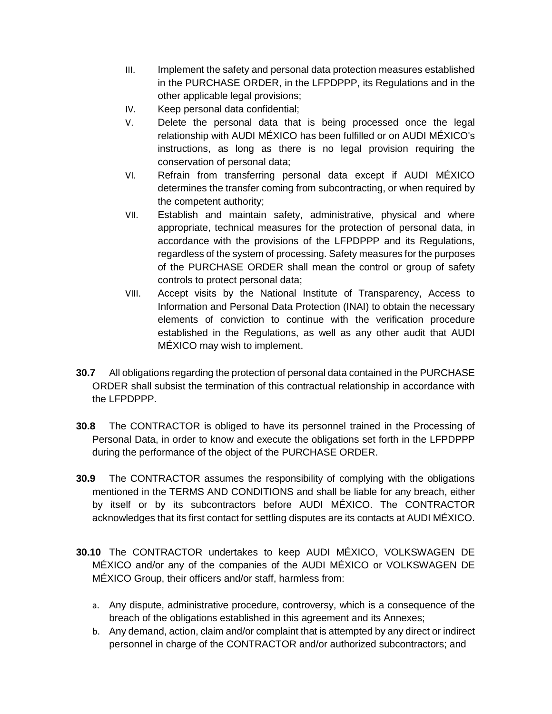- III. Implement the safety and personal data protection measures established in the PURCHASE ORDER, in the LFPDPPP, its Regulations and in the other applicable legal provisions;
- IV. Keep personal data confidential;
- V. Delete the personal data that is being processed once the legal relationship with AUDI MÉXICO has been fulfilled or on AUDI MÉXICO's instructions, as long as there is no legal provision requiring the conservation of personal data;
- VI. Refrain from transferring personal data except if AUDI MÉXICO determines the transfer coming from subcontracting, or when required by the competent authority;
- VII. Establish and maintain safety, administrative, physical and where appropriate, technical measures for the protection of personal data, in accordance with the provisions of the LFPDPPP and its Regulations, regardless of the system of processing. Safety measures for the purposes of the PURCHASE ORDER shall mean the control or group of safety controls to protect personal data;
- VIII. Accept visits by the National Institute of Transparency, Access to Information and Personal Data Protection (INAI) to obtain the necessary elements of conviction to continue with the verification procedure established in the Regulations, as well as any other audit that AUDI MÉXICO may wish to implement.
- **30.7** All obligations regarding the protection of personal data contained in the PURCHASE ORDER shall subsist the termination of this contractual relationship in accordance with the LFPDPPP.
- **30.8** The CONTRACTOR is obliged to have its personnel trained in the Processing of Personal Data, in order to know and execute the obligations set forth in the LFPDPPP during the performance of the object of the PURCHASE ORDER.
- **30.9** The CONTRACTOR assumes the responsibility of complying with the obligations mentioned in the TERMS AND CONDITIONS and shall be liable for any breach, either by itself or by its subcontractors before AUDI MÉXICO. The CONTRACTOR acknowledges that its first contact for settling disputes are its contacts at AUDI MÉXICO.
- **30.10** The CONTRACTOR undertakes to keep AUDI MÉXICO, VOLKSWAGEN DE MÉXICO and/or any of the companies of the AUDI MÉXICO or VOLKSWAGEN DE MÉXICO Group, their officers and/or staff, harmless from:
	- a. Any dispute, administrative procedure, controversy, which is a consequence of the breach of the obligations established in this agreement and its Annexes;
	- b. Any demand, action, claim and/or complaint that is attempted by any direct or indirect personnel in charge of the CONTRACTOR and/or authorized subcontractors; and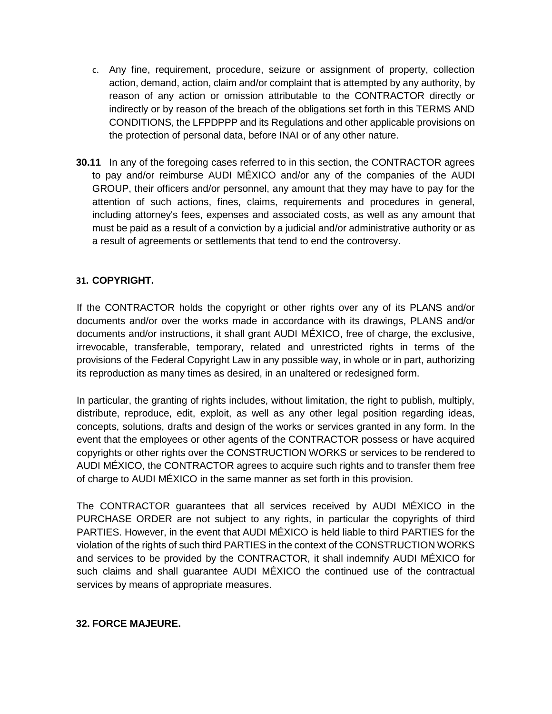- c. Any fine, requirement, procedure, seizure or assignment of property, collection action, demand, action, claim and/or complaint that is attempted by any authority, by reason of any action or omission attributable to the CONTRACTOR directly or indirectly or by reason of the breach of the obligations set forth in this TERMS AND CONDITIONS, the LFPDPPP and its Regulations and other applicable provisions on the protection of personal data, before INAI or of any other nature.
- **30.11** In any of the foregoing cases referred to in this section, the CONTRACTOR agrees to pay and/or reimburse AUDI MÉXICO and/or any of the companies of the AUDI GROUP, their officers and/or personnel, any amount that they may have to pay for the attention of such actions, fines, claims, requirements and procedures in general, including attorney's fees, expenses and associated costs, as well as any amount that must be paid as a result of a conviction by a judicial and/or administrative authority or as a result of agreements or settlements that tend to end the controversy.

#### **31. COPYRIGHT.**

If the CONTRACTOR holds the copyright or other rights over any of its PLANS and/or documents and/or over the works made in accordance with its drawings, PLANS and/or documents and/or instructions, it shall grant AUDI MÉXICO, free of charge, the exclusive, irrevocable, transferable, temporary, related and unrestricted rights in terms of the provisions of the Federal Copyright Law in any possible way, in whole or in part, authorizing its reproduction as many times as desired, in an unaltered or redesigned form.

In particular, the granting of rights includes, without limitation, the right to publish, multiply, distribute, reproduce, edit, exploit, as well as any other legal position regarding ideas, concepts, solutions, drafts and design of the works or services granted in any form. In the event that the employees or other agents of the CONTRACTOR possess or have acquired copyrights or other rights over the CONSTRUCTION WORKS or services to be rendered to AUDI MÉXICO, the CONTRACTOR agrees to acquire such rights and to transfer them free of charge to AUDI MÉXICO in the same manner as set forth in this provision.

The CONTRACTOR guarantees that all services received by AUDI MÉXICO in the PURCHASE ORDER are not subject to any rights, in particular the copyrights of third PARTIES. However, in the event that AUDI MÉXICO is held liable to third PARTIES for the violation of the rights of such third PARTIES in the context of the CONSTRUCTION WORKS and services to be provided by the CONTRACTOR, it shall indemnify AUDI MÉXICO for such claims and shall guarantee AUDI MÉXICO the continued use of the contractual services by means of appropriate measures.

#### **32. FORCE MAJEURE.**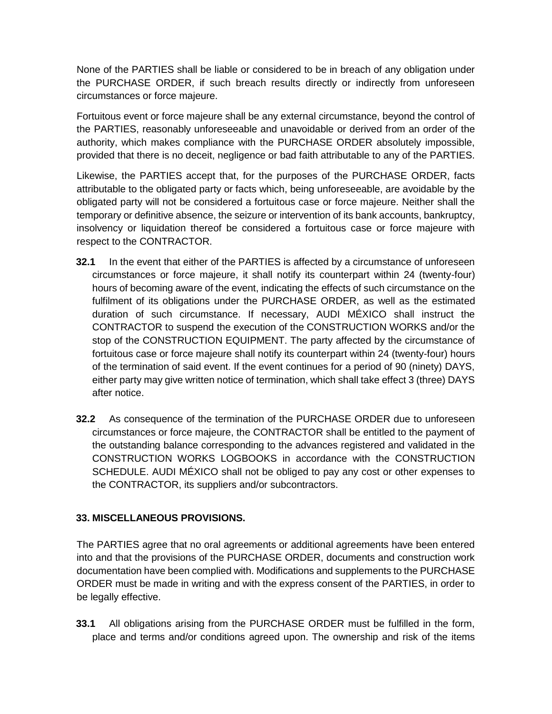None of the PARTIES shall be liable or considered to be in breach of any obligation under the PURCHASE ORDER, if such breach results directly or indirectly from unforeseen circumstances or force majeure.

Fortuitous event or force majeure shall be any external circumstance, beyond the control of the PARTIES, reasonably unforeseeable and unavoidable or derived from an order of the authority, which makes compliance with the PURCHASE ORDER absolutely impossible, provided that there is no deceit, negligence or bad faith attributable to any of the PARTIES.

Likewise, the PARTIES accept that, for the purposes of the PURCHASE ORDER, facts attributable to the obligated party or facts which, being unforeseeable, are avoidable by the obligated party will not be considered a fortuitous case or force majeure. Neither shall the temporary or definitive absence, the seizure or intervention of its bank accounts, bankruptcy, insolvency or liquidation thereof be considered a fortuitous case or force majeure with respect to the CONTRACTOR.

- **32.1** In the event that either of the PARTIES is affected by a circumstance of unforeseen circumstances or force majeure, it shall notify its counterpart within 24 (twenty-four) hours of becoming aware of the event, indicating the effects of such circumstance on the fulfilment of its obligations under the PURCHASE ORDER, as well as the estimated duration of such circumstance. If necessary, AUDI MÉXICO shall instruct the CONTRACTOR to suspend the execution of the CONSTRUCTION WORKS and/or the stop of the CONSTRUCTION EQUIPMENT. The party affected by the circumstance of fortuitous case or force majeure shall notify its counterpart within 24 (twenty-four) hours of the termination of said event. If the event continues for a period of 90 (ninety) DAYS, either party may give written notice of termination, which shall take effect 3 (three) DAYS after notice.
- **32.2** As consequence of the termination of the PURCHASE ORDER due to unforeseen circumstances or force majeure, the CONTRACTOR shall be entitled to the payment of the outstanding balance corresponding to the advances registered and validated in the CONSTRUCTION WORKS LOGBOOKS in accordance with the CONSTRUCTION SCHEDULE. AUDI MÉXICO shall not be obliged to pay any cost or other expenses to the CONTRACTOR, its suppliers and/or subcontractors.

### **33. MISCELLANEOUS PROVISIONS.**

The PARTIES agree that no oral agreements or additional agreements have been entered into and that the provisions of the PURCHASE ORDER, documents and construction work documentation have been complied with. Modifications and supplements to the PURCHASE ORDER must be made in writing and with the express consent of the PARTIES, in order to be legally effective.

**33.1** All obligations arising from the PURCHASE ORDER must be fulfilled in the form, place and terms and/or conditions agreed upon. The ownership and risk of the items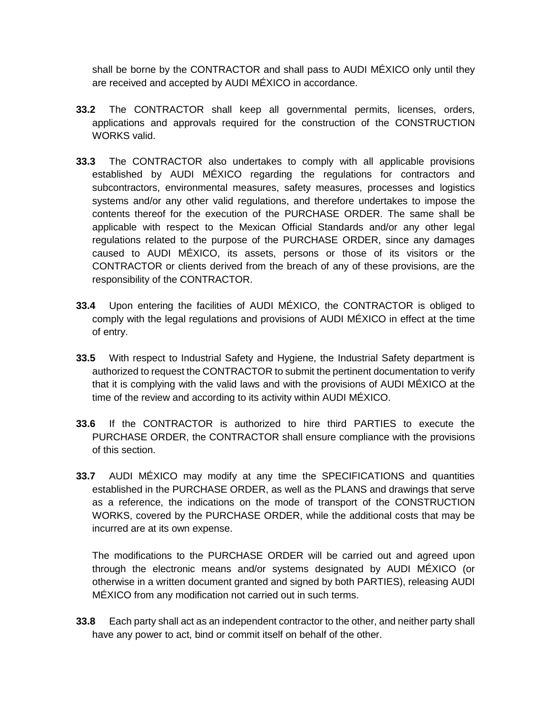shall be borne by the CONTRACTOR and shall pass to AUDI MÉXICO only until they are received and accepted by AUDI MÉXICO in accordance.

- **33.2** The CONTRACTOR shall keep all governmental permits, licenses, orders, applications and approvals required for the construction of the CONSTRUCTION WORKS valid.
- **33.3** The CONTRACTOR also undertakes to comply with all applicable provisions established by AUDI MÉXICO regarding the regulations for contractors and subcontractors, environmental measures, safety measures, processes and logistics systems and/or any other valid regulations, and therefore undertakes to impose the contents thereof for the execution of the PURCHASE ORDER. The same shall be applicable with respect to the Mexican Official Standards and/or any other legal regulations related to the purpose of the PURCHASE ORDER, since any damages caused to AUDI MÉXICO, its assets, persons or those of its visitors or the CONTRACTOR or clients derived from the breach of any of these provisions, are the responsibility of the CONTRACTOR.
- **33.4** Upon entering the facilities of AUDI MÉXICO, the CONTRACTOR is obliged to comply with the legal regulations and provisions of AUDI MÉXICO in effect at the time of entry.
- **33.5** With respect to Industrial Safety and Hygiene, the Industrial Safety department is authorized to request the CONTRACTOR to submit the pertinent documentation to verify that it is complying with the valid laws and with the provisions of AUDI MÉXICO at the time of the review and according to its activity within AUDI MÉXICO.
- **33.6** If the CONTRACTOR is authorized to hire third PARTIES to execute the PURCHASE ORDER, the CONTRACTOR shall ensure compliance with the provisions of this section.
- **33.7** AUDI MÉXICO may modify at any time the SPECIFICATIONS and quantities established in the PURCHASE ORDER, as well as the PLANS and drawings that serve as a reference, the indications on the mode of transport of the CONSTRUCTION WORKS, covered by the PURCHASE ORDER, while the additional costs that may be incurred are at its own expense.

The modifications to the PURCHASE ORDER will be carried out and agreed upon through the electronic means and/or systems designated by AUDI MÉXICO (or otherwise in a written document granted and signed by both PARTIES), releasing AUDI MÉXICO from any modification not carried out in such terms.

**33.8** Each party shall act as an independent contractor to the other, and neither party shall have any power to act, bind or commit itself on behalf of the other.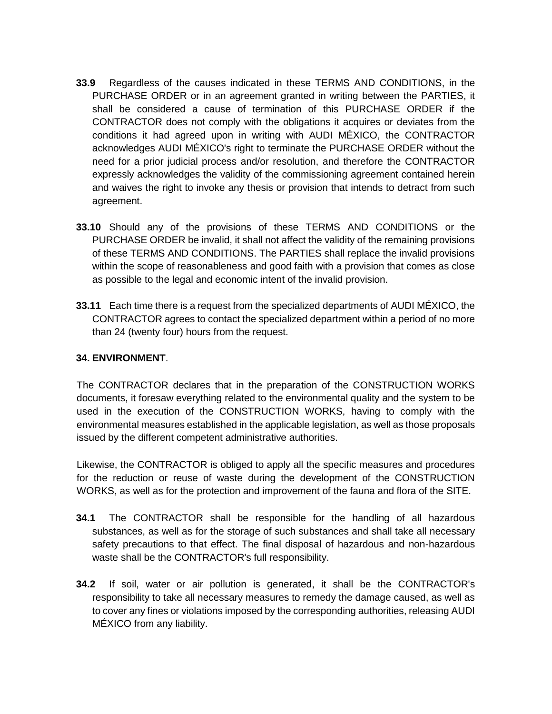- **33.9** Regardless of the causes indicated in these TERMS AND CONDITIONS, in the PURCHASE ORDER or in an agreement granted in writing between the PARTIES, it shall be considered a cause of termination of this PURCHASE ORDER if the CONTRACTOR does not comply with the obligations it acquires or deviates from the conditions it had agreed upon in writing with AUDI MÉXICO, the CONTRACTOR acknowledges AUDI MÉXICO's right to terminate the PURCHASE ORDER without the need for a prior judicial process and/or resolution, and therefore the CONTRACTOR expressly acknowledges the validity of the commissioning agreement contained herein and waives the right to invoke any thesis or provision that intends to detract from such agreement.
- **33.10** Should any of the provisions of these TERMS AND CONDITIONS or the PURCHASE ORDER be invalid, it shall not affect the validity of the remaining provisions of these TERMS AND CONDITIONS. The PARTIES shall replace the invalid provisions within the scope of reasonableness and good faith with a provision that comes as close as possible to the legal and economic intent of the invalid provision.
- **33.11** Each time there is a request from the specialized departments of AUDI MÉXICO, the CONTRACTOR agrees to contact the specialized department within a period of no more than 24 (twenty four) hours from the request.

#### **34. ENVIRONMENT**.

The CONTRACTOR declares that in the preparation of the CONSTRUCTION WORKS documents, it foresaw everything related to the environmental quality and the system to be used in the execution of the CONSTRUCTION WORKS, having to comply with the environmental measures established in the applicable legislation, as well as those proposals issued by the different competent administrative authorities.

Likewise, the CONTRACTOR is obliged to apply all the specific measures and procedures for the reduction or reuse of waste during the development of the CONSTRUCTION WORKS, as well as for the protection and improvement of the fauna and flora of the SITE.

- **34.1** The CONTRACTOR shall be responsible for the handling of all hazardous substances, as well as for the storage of such substances and shall take all necessary safety precautions to that effect. The final disposal of hazardous and non-hazardous waste shall be the CONTRACTOR's full responsibility.
- **34.2** If soil, water or air pollution is generated, it shall be the CONTRACTOR's responsibility to take all necessary measures to remedy the damage caused, as well as to cover any fines or violations imposed by the corresponding authorities, releasing AUDI MÉXICO from any liability.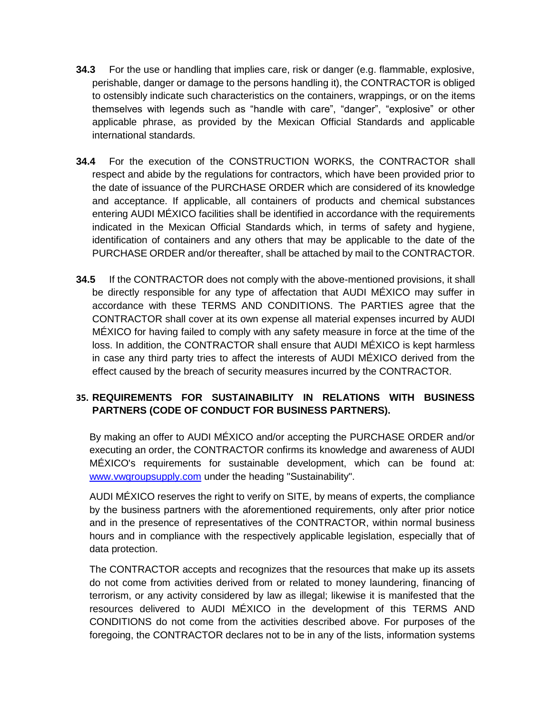- **34.3** For the use or handling that implies care, risk or danger (e.g. flammable, explosive, perishable, danger or damage to the persons handling it), the CONTRACTOR is obliged to ostensibly indicate such characteristics on the containers, wrappings, or on the items themselves with legends such as "handle with care", "danger", "explosive" or other applicable phrase, as provided by the Mexican Official Standards and applicable international standards.
- **34.4** For the execution of the CONSTRUCTION WORKS, the CONTRACTOR shall respect and abide by the regulations for contractors, which have been provided prior to the date of issuance of the PURCHASE ORDER which are considered of its knowledge and acceptance. If applicable, all containers of products and chemical substances entering AUDI MÉXICO facilities shall be identified in accordance with the requirements indicated in the Mexican Official Standards which, in terms of safety and hygiene, identification of containers and any others that may be applicable to the date of the PURCHASE ORDER and/or thereafter, shall be attached by mail to the CONTRACTOR.
- **34.5** If the CONTRACTOR does not comply with the above-mentioned provisions, it shall be directly responsible for any type of affectation that AUDI MÉXICO may suffer in accordance with these TERMS AND CONDITIONS. The PARTIES agree that the CONTRACTOR shall cover at its own expense all material expenses incurred by AUDI MÉXICO for having failed to comply with any safety measure in force at the time of the loss. In addition, the CONTRACTOR shall ensure that AUDI MÉXICO is kept harmless in case any third party tries to affect the interests of AUDI MÉXICO derived from the effect caused by the breach of security measures incurred by the CONTRACTOR.

### **35. REQUIREMENTS FOR SUSTAINABILITY IN RELATIONS WITH BUSINESS PARTNERS (CODE OF CONDUCT FOR BUSINESS PARTNERS).**

By making an offer to AUDI MÉXICO and/or accepting the PURCHASE ORDER and/or executing an order, the CONTRACTOR confirms its knowledge and awareness of AUDI MÉXICO's requirements for sustainable development, which can be found at: [www.vwgroupsupply.com](http://www.vwgroupsupply.com/) under the heading "Sustainability".

AUDI MÉXICO reserves the right to verify on SITE, by means of experts, the compliance by the business partners with the aforementioned requirements, only after prior notice and in the presence of representatives of the CONTRACTOR, within normal business hours and in compliance with the respectively applicable legislation, especially that of data protection.

The CONTRACTOR accepts and recognizes that the resources that make up its assets do not come from activities derived from or related to money laundering, financing of terrorism, or any activity considered by law as illegal; likewise it is manifested that the resources delivered to AUDI MÉXICO in the development of this TERMS AND CONDITIONS do not come from the activities described above. For purposes of the foregoing, the CONTRACTOR declares not to be in any of the lists, information systems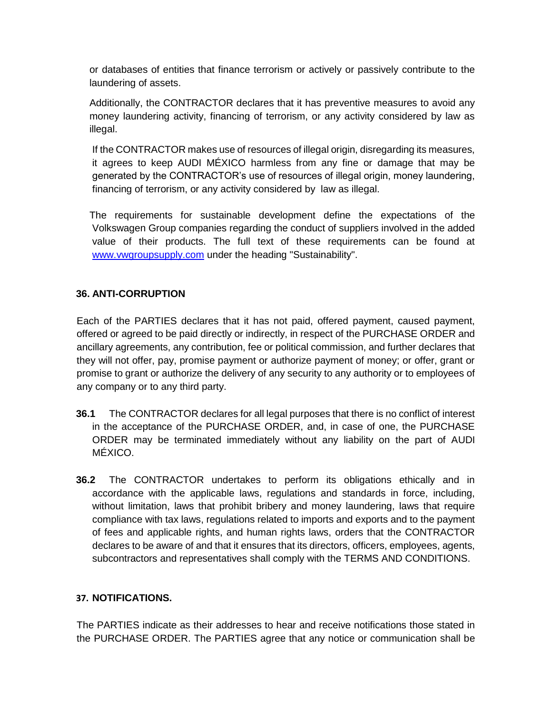or databases of entities that finance terrorism or actively or passively contribute to the laundering of assets.

Additionally, the CONTRACTOR declares that it has preventive measures to avoid any money laundering activity, financing of terrorism, or any activity considered by law as illegal.

If the CONTRACTOR makes use of resources of illegal origin, disregarding its measures, it agrees to keep AUDI MÉXICO harmless from any fine or damage that may be generated by the CONTRACTOR's use of resources of illegal origin, money laundering, financing of terrorism, or any activity considered by law as illegal.

The requirements for sustainable development define the expectations of the Volkswagen Group companies regarding the conduct of suppliers involved in the added value of their products. The full text of these requirements can be found at [www.vwgroupsupply.com](http://www.vwgroupsupply.com/) under the heading "Sustainability".

### **36. ANTI-CORRUPTION**

Each of the PARTIES declares that it has not paid, offered payment, caused payment, offered or agreed to be paid directly or indirectly, in respect of the PURCHASE ORDER and ancillary agreements, any contribution, fee or political commission, and further declares that they will not offer, pay, promise payment or authorize payment of money; or offer, grant or promise to grant or authorize the delivery of any security to any authority or to employees of any company or to any third party.

- **36.1** The CONTRACTOR declares for all legal purposes that there is no conflict of interest in the acceptance of the PURCHASE ORDER, and, in case of one, the PURCHASE ORDER may be terminated immediately without any liability on the part of AUDI MÉXICO.
- **36.2** The CONTRACTOR undertakes to perform its obligations ethically and in accordance with the applicable laws, regulations and standards in force, including, without limitation, laws that prohibit bribery and money laundering, laws that require compliance with tax laws, regulations related to imports and exports and to the payment of fees and applicable rights, and human rights laws, orders that the CONTRACTOR declares to be aware of and that it ensures that its directors, officers, employees, agents, subcontractors and representatives shall comply with the TERMS AND CONDITIONS.

#### **37. NOTIFICATIONS.**

The PARTIES indicate as their addresses to hear and receive notifications those stated in the PURCHASE ORDER. The PARTIES agree that any notice or communication shall be